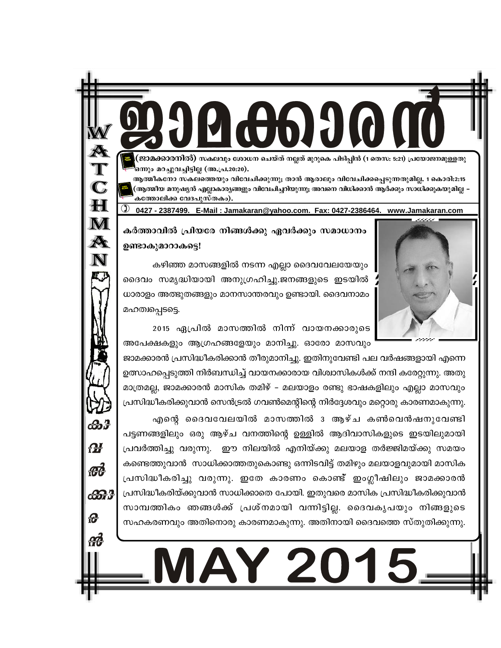്ജാമക്കാരനിൽ) സകലവും ശോധന ചെയ്ത് നല്ലത് മുറുകെ പിടിപ്പിൻ (1 തെസ: 5:21) പ്രയോജനമുള്ളതു ഒന്നും മറച്ചുവച്ചിട്ടില്ല (അ.പ്ര.20:20).

ആത്മീകനോ സകലത്തെയും വിവേചിക്കുന്നു; താൻ ആരാലും വിവേചിക്കപ്പെടുന്നതുമില്ല. 1 കൊരി:2:15 (ആത്മീയ മനുഷ്യൻ എല്ലാകാര്യങ്ങളും വിവേചിച്ചറിയുന്നു; അവനെ വിധിക്കാൻ ആർക്കും സാധിക്കുകയുമില്ല -കത്തോലിക്ക വേദപുസ്തകം).

0427 - 2387499. E-Mail: Jamakaran@yahoo.com. Fax: 0427-2386464. www.Jamakaran.com



കർത്താവിൽ പ്രിയരേ നിങ്ങൾക്കു ഏവർക്കും സമാധാനം ഉണ്ടാകുമാറാകട്ടെ!

 $\mathbf C$ 

 $\mathbf H$ 

 $\bf M$ 

A

 $\mathbf N$ 

ക്കു

**M** 

 $\boldsymbol{\theta}$ 

ക്കു

കഴിഞ്ഞ മാസങ്ങളിൽ നടന്ന എല്ലാ ദൈവവേലയേയും ദൈവം സമൃദ്ധിയായി അനുഗ്രഹിച്ചു.ജനങ്ങളുടെ ഇടയിൽ ധാരാളം അത്ഭുതങ്ങളും മാനസാന്തരവും ഉണ്ടായി. ദൈവനാമം മഹത്വപ്പെടട്ടെ.

2015 ഏപ്രിൽ മാസത്തിൽ നിന്ന് വായനക്കാരുടെ അപേക്ഷകളും ആഗ്രഹങ്ങളേയും മാനിച്ചു. ഓരോ മാസവും

ജാമക്കാരൻ പ്രസിദ്ധീകരിക്കാൻ തീരുമാനിച്ചു. ഇതിനുവേണ്ടി പല വർഷങ്ങളായി എന്നെ ഉത്സാഹപ്പെടുത്തി നിർബന്ധിച്ച് വായനക്കാരായ വിശ്വാസികൾക്ക് നന്ദി കരേറ്റുന്നു. അതു മാത്രമല്ല, ജാമക്കാരൻ മാസിക തമിഴ് – മലയാളം രണ്ടു ഭാഷകളിലും എല്ലാ മാസവും പ്രസിദ്ധീകരിക്കുവാൻ സെൻട്രൽ ഗവൺമെന്റിന്റെ നിർദ്ദേശവും മറ്റൊരു കാരണമാകുന്നു.

എന്റെ ദൈവവേലയിൽ മാസത്തിൽ 3 ആഴ്ച കൺവെൻഷനുവേണ്ടി പട്ടണങ്ങളിലും ഒരു ആഴ്ച വനത്തിന്റെ ഉള്ളിൽ ആദിവാസികളുടെ ഇടയിലുമായി പ്രവർത്തിച്ചു വരുന്നു. ഈ നിലയിൽ എനിയ്ക്കു മലയാള തർജ്ജിമയ്ക്കു സമയം കണ്ടെത്തുവാൻ സാധിക്കാത്തതുകൊണ്ടു ഒന്നിടവിട്ട് തമിഴും മലയാളവുമായി മാസിക പ്രസിദ്ധീകരിച്ചു വരുന്നു. ഇതേ കാരണം കൊണ്ട് ഇംഗ്ലീഷിലും ജാമക്കാരൻ പ്രസിദ്ധീകരിയ്ക്കുവാൻ സാധിക്കാതെ പോയി. ഇതുവരെ മാസിക പ്രസിദ്ധീകരിക്കുവാൻ സാമ്പത്തികം ഞങ്ങൾക്ക് പ്രശ്നമായി വന്നിട്ടില്ല. ദൈവകൃപയും നിങ്ങളുടെ സഹകരണവും അതിനൊരു കാരണമാകുന്നു. അതിനായി ദൈവത്തെ സ്തുതിക്കുന്നു.

Y 2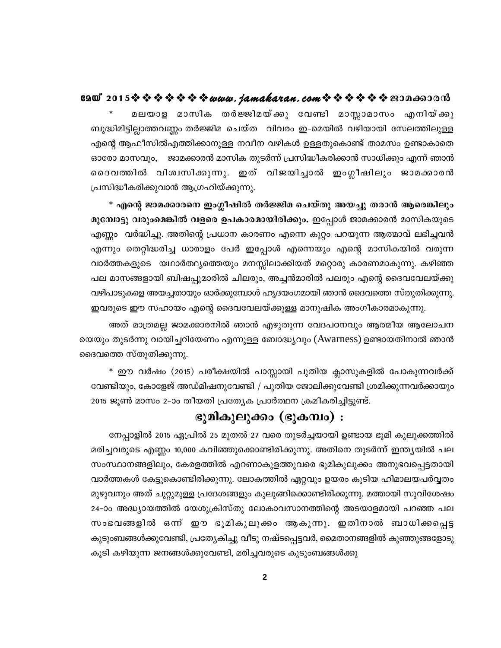മലയാള മാസിക തർജ്ജിമയ്ക്കു വേണ്ടി മാസ്സാമാസം എനിയ്ക്കു ബുദ്ധിമിട്ടില്ലാത്തവണ്ണം തർജ്ജിമ ചെയ്ത വിവരം ഇ-മെയിൽ വഴിയായി സേലത്തിലുള്ള എന്റെ ആഫീസിൽഎത്തിക്കാനുള്ള നവീന വഴികൾ ഉള്ളതുകൊണ്ട് താമസം ഉണ്ടാകാതെ ഓരോ മാസവും, ജാമക്കാരൻ മാസിക തുടർന്ന് പ്രസിദ്ധീകരിക്കാൻ സാധിക്കും എന്ന് ഞാൻ ദൈവത്തിൽ വിശ്വസിക്കുന്നു. ഇത് വിജയിച്ചാൽ ഇംഗ്ലീഷിലും ജാമക്കാരൻ പ്രസിദ്ധീകരിക്കുവാൻ ആഗ്രഹിയ്ക്കുന്നു.

\* എന്റെ ജാമക്കാരനെ ഇംഗ്ലീഷിൽ തർജ്ജിമ ചെയ്തു അയച്ചു തരാൻ ആരെങ്കിലും മുമ്പോട്ടു വരുംമെങ്കിൽ വളരെ ഉപകാരമായിരിക്കും. ഇപ്പോൾ ജാമക്കാരൻ മാസികയുടെ എണ്ണം വർദ്ധിച്ചു. അതിന്റെ പ്രധാന കാരണം എന്നെ കുറ്റം പറയുന്ന ആത്മാവ് ലഭിച്ചവൻ എന്നും തെറ്റിദ്ധരിച്ച ധാരാളം പേർ ഇപ്പോൾ എന്നെയും എന്റെ മാസികയിൽ വരുന്ന വാർത്തകളുടെ യഥാർത്ഥ്യത്തെയും മനസ്സിലാക്കിയത് മറ്റൊരു കാരണമാകുന്നു. കഴിഞ്ഞ പല മാസങ്ങളായി ബിഷപ്പുമാരിൽ ചിലരും, അച്ചൻമാരിൽ പലരും എന്റെ ദൈവവേലയ്ക്കു വഴിപാടുകളെ അയച്ചതായും ഓർക്കുമ്പോൾ ഹൃദയംഗമായി ഞാൻ ദൈവത്തെ സ്തുതിക്കുന്നു. ഇവരുടെ ഈ സഹായം എന്റെ ദൈവവേലയ്ക്കുള്ള മാനുഷിക അംഗീകാരമാകുന്നു.

അത് മാത്രമല്ല ജാമക്കാരനിൽ ഞാൻ എഴുതുന്ന വേദപഠനവും ആത്മീയ ആലോചന യെയും തുടർന്നു വായിച്ചറിയേണം എന്നുള്ള ബോദ്ധ്യവും (Awarness) ഉണ്ടായതിനാൽ ഞാൻ ദൈവത്തെ സ്തുതിക്കുന്നു.

\* ഈ വർഷം (2015) പരീക്ഷയിൽ പാസ്സായി പുതിയ ക്ലാസുകളിൽ പോകുന്നവർക്ക് വേണ്ടിയും, കോളേജ് അഡ്മിഷനുവേണ്ടി / പുതിയ ജോലിക്കുവേണ്ടി ശ്രമിക്കുന്നവർക്കായും 2015 ജൂൺ മാസം 2–ാം തീയതി പ്രത്യേക പ്രാർത്ഥന ക്രമീകരിച്ചിട്ടുണ്ട്.

## ഭൂമികുലുക്കം (ഭൂകമ്പം) :

നേപ്പാളിൽ 2015 ഏപ്രിൽ 25 മുതൽ 27 വരെ തുടർച്ചയായി ഉണ്ടായ ഭൂമി കുലുക്കത്തിൽ മരിച്ചവരുടെ എണ്ണം 10,000 കവിഞ്ഞുക്കൊണ്ടിരിക്കുന്നു. അതിനെ തുടർന്ന് ഇന്ത്യയിൽ പല സംസ്ഥാനങ്ങളിലും, കേരളത്തിൽ എറണാകുളത്തുവരെ ഭൂമികുലുക്കം അനുഭവപ്പെട്ടതായി വാർത്തകൾ കേട്ടുകൊണ്ടിരിക്കുന്നു. ലോകത്തിൽ ഏറ്റവും ഉയരം കൂടിയ ഹിമാലയപർവ്വതം മുഴുവനും അത് ചുറ്റുമുള്ള പ്രദേശങ്ങളും കുലുങ്ങിക്കൊണ്ടിരിക്കുന്നു. മത്തായി സുവിശേഷം 24-ാം അദ്ധ്യായത്തിൽ യേശുക്രിസ്തു ലോകാവസാനത്തിന്റെ അടയാളമായി പറഞ്ഞ പല സംഭവങ്ങളിൽ ഒന്ന് ഈ ഭൂമികുലുക്കം ആകുന്നു. ഇതിനാൽ ബാധിക്കപ്പെട്ട കുടുംബങ്ങൾക്കുവേണ്ടി, പ്രത്യേകിച്ചു വീടു നഷ്ടപ്പെട്ടവർ, മൈതാനങ്ങളിൽ കുഞ്ഞുങ്ങളോടു കൂടി കഴിയുന്ന ജനങ്ങൾക്കുവേണ്ടി, മരിച്ചവരുടെ കുടുംബങ്ങൾക്കു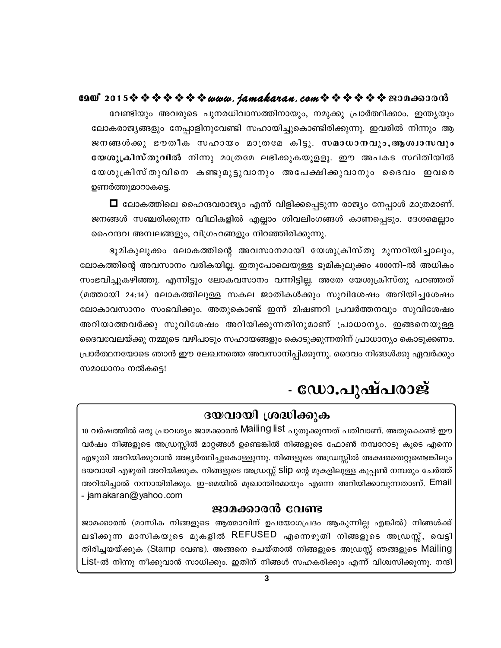### 6200°2015※※※※※※※*www.jamakaran.com*※※※※※※200<del>00</del>0000

വേണ്ടിയും അവരുടെ പുനരധിവാസത്തിനായും, നമുക്കു പ്രാർത്ഥിക്കാം. ഇന്ത്യയും ലോകരാജ്യങ്ങളും നേപ്പാളിനുവേണ്ടി സഹായിച്ചുകൊണ്ടിരിക്കുന്നു. ഇവരിൽ നിന്നും ആ ജനങ്ങൾക്കു ഭൗതീക സഹായം മാത്രമേ കിട്ടു. സമാധാനവും,ആശ്വാസവും യേശുക്രിസ്തുവിൽ നിന്നു മാത്രമേ ലഭിക്കുകയുള്ളു. ഈ അപകട സ്ഥിതിയിൽ യേശുക്രിസ്തുവിനെ കണ്ടുമുട്ടുവാനും അപേക്ഷിക്കുവാനും ദൈവം ഇവരെ ഉണർത്തുമാറാകട്ടെ.

 $\Box$  ലോകത്തിലെ ഹൈന്ദവരാജ്യം എന്ന് വിളിക്കപ്പെടുന്ന രാജ്യം നേപ്പാൾ മാത്രമാണ്. ജനങ്ങൾ സഞ്ചരിക്കുന്ന വീഥികളിൽ എല്ലാം ശിവലിംഗങ്ങൾ കാണപ്പെടും. ദേശമെല്ലാം ഹൈന്ദവ അമ്പലങ്ങളും, വിഗ്രഹങ്ങളും നിറഞ്ഞിരിക്കുന്നു.

ഭൂമികുലുക്കം ലോകത്തിന്റെ അവസാനമായി യേശുക്രിസ്തു മുന്നറിയിച്ചാലും, ലോകത്തിന്റെ അവസാനം വരികയില്ല. ഇതുപോലെയുള്ള ഭൂമികുലുക്കം 4000നി-ൽ അധികം സംഭവിച്ചുകഴിഞ്ഞു. എന്നിട്ടും ലോകവസാനം വന്നിട്ടില്ല. അതേ യേശുക്രിസ്തു പറഞ്ഞത് (മത്തായി 24:14) ലോകത്തിലുള്ള സകല ജാതികൾക്കും സുവിശേഷം അറിയിച്ചശേഷം ലോകാവസാനം സംഭവിക്കും. അതുകൊണ്ട് ഇന്ന് മിഷണറി പ്രവർത്തനവും സുവിശേഷം അറിയാത്തവർക്കു സുവിശേഷം അറിയിക്കുന്നതിനുമാണ് പ്രാധാന്യം. ഇങ്ങനെയുള്ള ദൈവവേലയ്ക്കു നമ്മുടെ വഴിപാടും സഹായങ്ങളും കൊടുക്കുന്നതിന് പ്രാധാന്യം കൊടുക്കണം. പ്രാർത്ഥനയോടെ ഞാൻ ഈ ലേഖനത്തെ അവസാനിപ്പിക്കുന്നു. ദൈവം നിങ്ങൾക്കു ഏവർക്കും സമാധാനം നൽകട്ടെ!

# - ഡോ.പുഷ്പരാജ്

## ദയവായി ശ്രദ്ധിക്കുക

<u>10 വർഷത്തിൽ ഒരു പ്രാവശ്യം ജാമക്കാരൻ Mailing list പുതുക്കുന്നത് പതിവാണ്. അതുകൊണ്ട് ഈ</u> വർഷം നിങ്ങളുടെ അഡ്രസ്സിൽ മാറ്റങ്ങൾ ഉണ്ടെങ്കിൽ നിങ്ങളുടെ ഫോൺ നമ്പറോടു കൂടെ എന്നെ എഴുതി അറിയിക്കുവാൻ അഭ്യർത്ഥിച്ചുകൊള്ളുന്നു. നിങ്ങളുടെ അഡ്രസ്സിൽ അക്ഷരതെറ്റുണ്ടെങ്കിലും ദയവായി എഴുതി അറിയിക്കുക. നിങ്ങളുടെ അഡ്രസ്സ് Slip ന്റെ മുകളിലുള്ള കൂപ്പൺ നമ്പരും ചേർത്ത് അറിയിച്ചാൽ നന്നായിരിക്കും. ഇ-മെയിൽ മുഖാന്തിരമായും എന്നെ അറിയിക്കാവുന്നതാണ്. Email - jamakaran@yahoo.com

#### ജാമക്കാരൻ വേണ്ട

ജാമക്കാരൻ (മാസിക നിങ്ങളുടെ ആത്മാവിന് ഉപയോഗപ്രദം ആകുന്നില്ല എങ്കിൽ) നിങ്ങൾക്ക് ലഭിക്കുന്ന മാസികയുടെ മുകളിൽ REFUSED എന്നെഴുതി നിങ്ങളുടെ അഡ്രസ്സ്, വെട്ടി തിരിച്ചയയ്ക്കുക (Stamp വേണ്ട). അങ്ങനെ ചെയ്താൽ നിങ്ങളുടെ അഡ്രസ്സ് ഞങ്ങളുടെ Mailing List-ൽ നിന്നു നീക്കുവാൻ സാധിക്കും. ഇതിന് നിങ്ങൾ സഹകരിക്കും എന്ന് വിശ്വസിക്കുന്നു. നന്ദി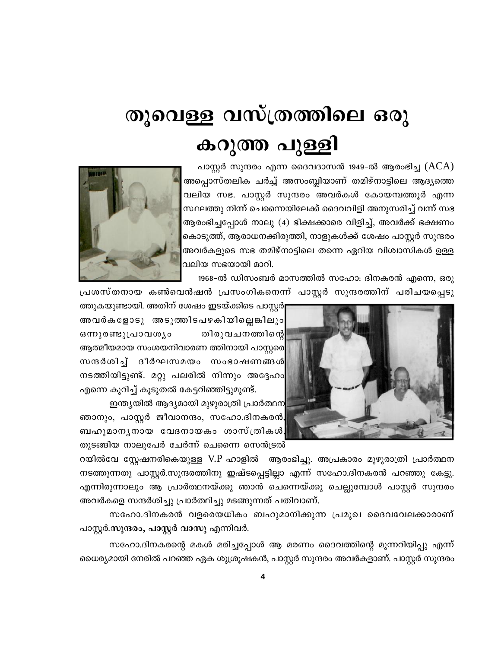# തൂവെള്ള വസ്ത്രത്തിലെ ഒരു കറുത്ത പുള്ളി

പാസ്റ്റർ സുന്ദരം എന്ന ദൈവദാസൻ 1949-ൽ ആരംഭിച്ച (ACA) അപ്പൊസ്തലിക ചർച്ച് അസംബ്ലിയാണ് തമിഴ്നാട്ടിലെ ആദ്യത്തെ വലിയ സഭ. പാസ്റ്റർ സുന്ദരം അവർകൾ കോയമ്പത്തൂർ എന്ന സ്ഥലത്തു നിന്ന് ചെന്നൈയിലേക്ക് ദൈവവിളി അനുസരിച്ച് വന്ന് സഭ ആരംഭിച്ചപ്പോൾ നാലു (4) ഭിക്ഷക്കാരെ വിളിച്ച്, അവർക്ക് ഭക്ഷണം കൊടുത്ത്, ആരാധനക്കിരുത്തി, നാളുകൾക്ക് ശേഷം പാസ്റ്റർ സുന്ദരം അവർകളുടെ സഭ തമിഴ്നാട്ടിലെ തന്നെ ഏറിയ വിശ്വാസികൾ ഉള്ള വലിയ സഭയായി മാറി.



1968-ൽ ഡിസംബർ മാസത്തിൽ സഹോ: ദിനകരൻ എന്നെ, ഒരു



പ്രശസ്തനായ കൺവെൻഷൻ പ്രസംഗികനെന്ന് പാസ്റ്റർ സുന്ദരത്തിന് പരിചയപ്പെടു ത്തുകയുണ്ടായി. അതിന് ശേഷം ഇടയ്ക്കിടെ പാസ്റ്റർ[

അവർകളോടു അടുത്തിടപഴകിയില്ലെങ്കിലും ഒന്നുരണ്ടുപ്രാവശ്യം തിരുവചനത്തിന്റെ ആത്മീയമായ സംശയനിവാരണ ത്തിനായി പാസ്റ്റരെ സന്ദർശിച്ച് ദീർഘസമയം സംഭാഷണങ്ങൾ നടത്തിയിട്ടുണ്ട്. മറ്റു പലരിൽ നിന്നും അദ്ദേഹം എന്നെ കുറിച്ച് കൂടുതൽ കേട്ടറിഞ്ഞിട്ടുമുണ്ട്.

ഇന്ത്യയിൽ ആദ്യമായി മുഴുരാത്രി പ്രാർത്ഥന ഞാനും, പാസ്റ്റർ ജീവാനന്ദം, സഹോ.ദിനകരൻ, ബഹുമാനൃനായ വേദനായകം ശാസ്ത്രികൾ തുടങ്ങിയ നാലുപേർ ചേർന്ന് ചെന്നൈ സെൻട്രൽ

റയിൽവേ സ്റ്റേഷനരികെയുള്ള V.P ഹാളിൽ ആരംഭിച്ചു. അപ്രകാരം മുഴുരാത്രി പ്രാർത്ഥന നടത്തുന്നതു പാസ്റ്റർ.സുന്ദരത്തിനു ഇഷ്ടപ്പെട്ടില്ലാ എന്ന് സഹോ.ദിനകരൻ പറഞ്ഞു കേട്ടു. എന്നിരുന്നാലും ആ പ്രാർത്ഥനയ്ക്കു ഞാൻ ചെന്നെയ്ക്കു ചെല്ലുമ്പോൾ പാസ്റ്റർ സുന്ദരം അവർകളെ സന്ദർശിച്ചു പ്രാർത്ഥിച്ചു മടങ്ങുന്നത് പതിവാണ്.

സഹോ.ദിനകരൻ വളരെയധികം ബഹുമാനിക്കുന്ന പ്രമുഖ ദൈവവേലക്കാരാണ് പാസ്റ്റർ.സുന്ദരം, പാസ്റ്റർ വാസു എന്നിവർ.

സഹോ.ദിനകരന്റെ മകൾ മരിച്ചപ്പോൾ ആ മരണം ദൈവത്തിന്റെ മുന്നറിയിപ്പു എന്ന് ധൈര്യമായി നേരിൽ പറഞ്ഞ ഏക ശുശ്രൂഷകൻ, പാസ്റ്റർ സുന്ദരം അവർകളാണ്. പാസ്റ്റർ സുന്ദരം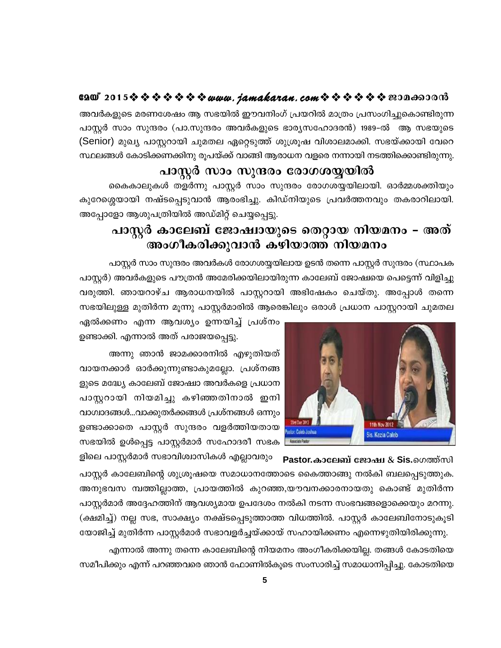#### GAO 2015※※※※※※※*www.jamakaran.com*※※※※※※20A<del>o</del>00018

അവർകളുടെ മരണശേഷം ആ സഭയിൽ ഈവനിംഗ് പ്രയറിൽ മാത്രം പ്രസംഗിച്ചുകൊണ്ടിരുന്ന പാസ്റ്റർ സാം സുന്ദരം (പാ.സുന്ദരം അവർകളുടെ ഭാര്യസഹോദരൻ) 1989-ൽ ആ സഭയുടെ (Senior) മുഖ്യ പാസ്റ്ററായി ചുമതല ഏറ്റെടുത്ത് ശുശ്രൂഷ വിശാലമാക്കി. സഭയ്ക്കായി വേറെ സ്ഥലങ്ങൾ കോടിക്കണക്കിനു രൂപയ്ക്ക് വാങ്ങി ആരാധന വളരെ നന്നായി നടത്തിക്കൊണ്ടിരുന്നു.

#### പാസ്റ്റർ സാം സുന്ദരം രോഗശയ്യയിൽ

കൈകാലുകൾ തളർന്നു പാസ്റ്റർ സാം സുന്ദരം രോഗശയ്യയിലായി. ഓർമ്മശക്തിയും കുറേശ്ശെയായി നഷ്ടപ്പെടുവാൻ ആരംഭിച്ചു. കിഡ്നിയുടെ പ്രവർത്തനവും തകരാറിലായി. അപ്പോളോ ആശുപത്രിയിൽ അഡ്മിറ്റ് ചെയ്യപ്പെട്ടു.

# പാസ്റ്റർ കാലേബ് ജോഷ്വായുടെ തെറ്റായ നിയമനം - അത് അംഗീകരിക്കുവാൻ കഴിയാത്ത് നിയമനം

പാസ്റ്റർ സാം സുന്ദരം അവർകൾ രോഗശയ്യയിലായ ഉടൻ തന്നെ പാസ്റ്റർ സുന്ദരം (സ്ഥാപക പാസ്റ്റർ) അവർകളുടെ പൗത്രൻ അമേരിക്കയിലായിരുന്ന കാലേബ് ജോഷ്വയെ പെട്ടെന്ന് വിളിച്ചു വരുത്തി. ഞായറാഴ്ച ആരാധനയിൽ പാസ്റ്ററായി അഭിഷേകം ചെയ്തു. അപ്പോൾ തന്നെ സഭയിലുള്ള മുതിർന്ന മൂന്നു പാസ്റ്റർമാരിൽ ആരെങ്കിലും ഒരാൾ പ്രധാന പാസ്റ്ററായി ചുമതല



ഏൽക്കണം എന്ന ആവശ്യം ഉന്നയിച്ച് പ്രശ്നം ഉണ്ടാക്കി. എന്നാൽ അത് പരാജയപ്പെട്ടു.

അന്നു ഞാൻ ജാമക്കാരനിൽ എഴുതിയത് വായനക്കാർ ഓർക്കുന്നുണ്ടാകുമല്ലോ. പ്രശ്നങ്ങ ളുടെ മദ്ധ്യേ കാലേബ് ജോഷ്വാ അവർകളെ പ്രധാന പാസ്റ്ററായി നിയമിച്ചു കഴിഞ്ഞതിനാൽ ഇനി വാഗ്വാദങ്ങൾ...വാക്കുതർക്കങ്ങൾ പ്രശ്നങ്ങൾ ഒന്നും ഉണ്ടാക്കാതെ പാസ്റ്റർ സുന്ദരം വളർത്തിയതായ സഭയിൽ ഉൾപ്പെട്ട പാസ്റ്റർമാർ സഹോദരീ സഭക

ളിലെ പാസ്റ്റർമാർ സഭാവിശ്വാസികൾ എല്ലാവരും Pastor.കാലേബ് ജോഷ്വ & Sis.ഗെത്ത്സി പാസ്റ്റർ കാലേബിന്റെ ശുശ്രൂഷയെ സമാധാനത്തോടെ കൈത്താങ്ങു നൽകി ബലപ്പെടുത്തുക. അനുഭവസ മ്പത്തില്ലാത്ത, പ്രായത്തിൽ കുറഞ്ഞ,യൗവനക്കാരനായതു കൊണ്ട് മുതിർന്ന പാസ്റ്റർമാർ അദ്ദേഹത്തിന് ആവശ്യമായ ഉപദേശം നൽകി നടന്ന സംഭവങ്ങളൊക്കെയും മറന്നു. (ക്ഷമിച്ച്) നല്ല സഭ, സാക്ഷ്യം നക്ഷ്ടപ്പെടുത്താത്ത വിധത്തിൽ. പാസ്റ്റർ കാലേബിനോടുകൂടി യോജിച്ച് മുതിർന്ന പാസ്റ്റർമാർ സഭാവളർച്ചയ്ക്കായ് സഹായിക്കണം എന്നെഴുതിയിരിക്കുന്നു.

എന്നാൽ അന്നു തന്നെ കാലേബിന്റെ നിയമനം അംഗീകരിക്കയില്ല. തങ്ങൾ കോടതിയെ സമീപിക്കും എന്ന് പറഞ്ഞവരെ ഞാൻ ഫോണിൽകൂടെ സംസാരിച്ച് സമാധാനിപ്പിച്ചു. കോടതിയെ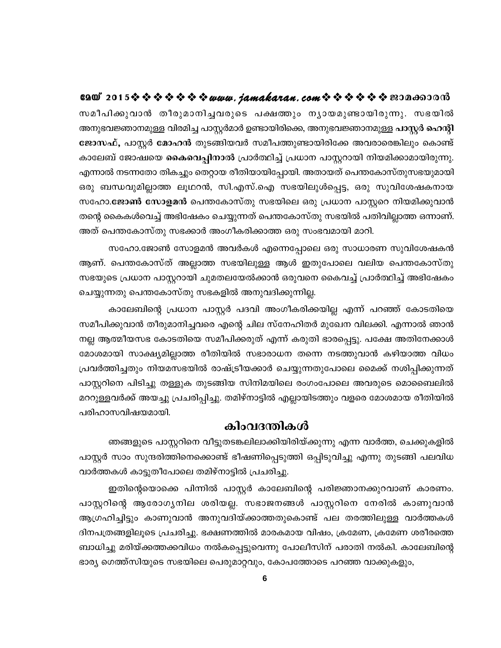സമീപിക്കുവാൻ തീരുമാനിച്ചവരുടെ പക്ഷത്തും നൃായമുണ്ടായിരുന്നു. സഭയിൽ അനുഭവജ്ഞാനമുള്ള വിരമിച്ച പാസ്റ്റർമാർ ഉണ്ടായിരിക്കെ, അനുഭവജ്ഞാനമുള്ള പാസ്റ്റർ ഹെന്റി ജോസഫ്, പാസ്റ്റർ മോഹൻ തുടങ്ങിയവർ സമീപത്തുണ്ടായിരിക്കേ അവരാരെങ്കിലും കൊണ്ട് കാലേബ് ജോഷ്വയെ <mark>കൈവെപ്പിനാൽ</mark> പ്രാർത്ഥിച്ച് പ്രധാന പാസ്റ്ററായി നിയമിക്കാമായിരുന്നു. എന്നാൽ നടന്നതോ തികച്ചും തെറ്റായ രീതിയായിപ്പോയി. അതായത് പെന്തകോസ്തുസഭയുമായി ഒരു ബന്ധവുമില്ലാത്ത ലൂഥറൻ, സി.എസ്.ഐ സഭയിലുൾപ്പെട്ട, ഒരു സുവിശേഷകനായ സഹോ.ജോൺ സോളമൻ പെന്തകോസ്തു സഭയിലെ ഒരു പ്രധാന പാസ്റ്ററെ നിയമിക്കുവാൻ തന്റെ കൈകൾവെച്ച് അഭിഷേകം ചെയ്യുന്നത് പെന്തകോസ്തു സഭയിൽ പതിവില്ലാത്ത ഒന്നാണ്. അത് പെന്തകോസ്തു സഭക്കാർ അംഗീകരിക്കാത്ത ഒരു സംഭവമായി മാറി.

സഹോ.ജോൺ സോളമൻ അവർകൾ എന്നെപ്പോലെ ഒരു സാധാരണ സുവിശേഷകൻ ആണ്. പെന്തകോസ്ത് അല്ലാത്ത സഭയിലുള്ള ആൾ ഇതുപോലെ വലിയ പെന്തകോസ്തു സഭയുടെ പ്രധാന പാസ്റ്ററായി ചുമതലയേൽക്കാൻ ഒരുവനെ കൈവച്ച് പ്രാർത്ഥിച്ച് അഭിഷേകം ചെയ്യുന്നതു പെന്തകോസ്തു സഭകളിൽ അനുവദിക്കുന്നില്ല.

കാലേബിന്റെ പ്രധാന പാസ്റ്റർ പദവി അംഗീകരിക്കയില്ല എന്ന് പറഞ്ഞ് കോടതിയെ സമീപിക്കുവാൻ തീരുമാനിച്ചവരെ എന്റെ ചില സ്നേഹിതർ മുഖേന വിലക്കി. എന്നാൽ ഞാൻ നല്ല ആത്മീയസഭ കോടതിയെ സമീപിക്കരുത് എന്ന് കരുതി ഭാരപ്പെട്ടു. പക്ഷേ അതിനേക്കാൾ മോശമായി സാക്ഷ്യമില്ലാത്ത രീതിയിൽ സഭാരാധന തന്നെ നടത്തുവാൻ കഴിയാത്ത വിധം പ്രവർത്തിച്ചതും നിയമസഭയിൽ രാഷ്ട്രീയക്കാർ ചെയ്യുന്നതുപോലെ മൈക്ക് നശിപ്പിക്കുന്നത് പാസ്റ്ററിനെ പിടിച്ചു തള്ളുക തുടങ്ങിയ സിനിമയിലെ രംഗംപോലെ അവരുടെ മൊബൈലിൽ മററുള്ളവർക്ക് അയച്ചു പ്രചരിപ്പിച്ചു. തമിഴ്നാട്ടിൽ എല്ലായിടത്തും വളരെ മോശമായ രീതിയിൽ പരിഹാസവിഷയമായി.

#### കിംവദന്തികൾ

ഞങ്ങളുടെ പാസ്റ്ററിനെ വീട്ടുതടങ്കലിലാക്കിയിരിയ്ക്കുന്നു എന്ന വാർത്ത, ചെക്കുകളിൽ പാസ്റ്റർ സാം സുന്ദരിത്തിനെക്കൊണ്ട് ഭീഷണിപ്പെടുത്തി ഒപ്പിടുവിച്ചു എന്നു തുടങ്ങി പലവിധ വാർത്തകൾ കാട്ടുതീപോലെ തമിഴ്നാട്ടിൽ പ്രചരിച്ചു.

ഇതിന്റെയൊക്കെ പിന്നിൽ പാസ്റ്റർ കാലേബിന്റെ പരിജ്ഞാനക്കുറവാണ് കാരണം. പാസ്റ്ററിന്റെ ആരോഗ്യനില ശരിയല്ല. സഭാജനങ്ങൾ പാസ്റ്ററിനെ നേരിൽ കാണുവാൻ ആഗ്രഹിച്ചിട്ടും കാണുവാൻ അനുവദിയ്ക്കാത്തതുകൊണ്ട് പല തരത്തിലുള്ള വാർത്തകൾ ദിനപത്രങ്ങളിലൂടെ പ്രചരിച്ചു. ഭക്ഷണത്തിൽ മാരകമായ വിഷം, ക്രമേണ, ക്രമേണ ശരീരത്തെ ബാധിച്ചു മരിയ്ക്കത്തക്കവിധം നൽകപ്പെട്ടുവെന്നു പോലീസിന് പരാതി നൽകി. കാലേബിന്റെ ഭാര്യ ഗെത്ത്സിയുടെ സഭയിലെ പെരുമാറ്റവും, കോപത്തോടെ പറഞ്ഞ വാക്കുകളും,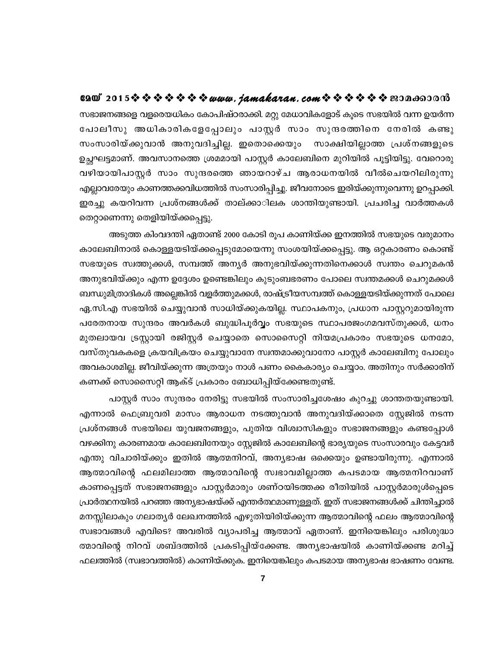#### eaw 2015 \$ \$ \$ \$ \$ \$ \$ *\$ www.jamakaran.com* \$ \$ \$ \$ \$ \$ \$ \$200 mo00 m

സഭാജനങ്ങളെ വളരെയധികം കോപിഷ്ഠരാക്കി. മറ്റു മേധാവികളോട് കൂടെ സഭയിൽ വന്ന ഉയർന്ന പോലീസു അധികാരികളേപ്പോലും പാസ്റ്റർ സാം സുന്ദരത്തിനെ നേരിൽ കണ്ടു സംസാരിയ്ക്കുവാൻ അനുവദിച്ചില്ല. ഇതൊക്കെയും സാക്ഷിയില്ലാത്ത പ്രശ്നങ്ങളുടെ ഉച്ഛഘട്ടമാണ്. അവസാനത്തെ ശ്രമമായി പാസ്റ്റർ കാലേബിനെ മുറിയിൽ പൂട്ടിയിട്ടു. വേറൊരു വഴിയായിപാസ്റ്റർ സാം സുന്ദരത്തെ ഞായറാഴ്ച ആരാധനയിൽ വീൽചെയറിലിരുന്നു എല്ലാവരേയും കാണത്തക്കവിധത്തിൽ സംസാരിപ്പിച്ചു. ജീവനോടെ ഇരിയ്ക്കുന്നുവെന്നു ഉറപ്പാക്കി. ഇരച്ചു കയറിവന്ന പ്രശ്നങ്ങൾക്ക് താല്ക്കാിലക ശാന്തിയുണ്ടായി. പ്രചരിച്ച വാർത്തകൾ തെറ്റാണെന്നു തെളിയിയ്ക്കപ്പെട്ടു.

അടുത്ത കിംവദന്തി ഏതാണ്ട് 2000 കോടി രൂപ കാണിയ്ക്ക ഇനത്തിൽ സഭയുടെ വരുമാനം കാലേബിനാൽ കൊള്ളയടിയ്ക്കപ്പെടുമോയെന്നു സംശയിയ്ക്കപ്പെട്ടു. ആ ഒറ്റകാരണം കൊണ്ട് സഭയുടെ സ്വത്തുക്കൾ, സമ്പത്ത് അന്യർ അനുഭവിയ്ക്കുന്നതിനെക്കാൾ സ്വന്തം ചെറുമകൻ അനുഭവിയ്ക്കും എന്ന ഉദ്ദേശം ഉണ്ടെങ്കിലും കുടുംബഭരണം പോലെ സ്വന്തമക്കൾ ചെറുമക്കൾ ബന്ധുമിത്രാദികൾ അല്ലെങ്കിൽ വളർത്തുമക്കൾ, രാഷ്ട്രീയസമ്പത്ത് കൊള്ളയടിയ്ക്കുന്നത് പോലെ ഏ.സി.എ സഭയിൽ ചെയ്യുവാൻ സാധിയ്ക്കുകയില്ല. സ്ഥാപകനും, പ്രധാന പാസ്റ്ററുമായിരുന്ന പരേതനായ സുന്ദരം അവർകൾ ബുദ്ധിപൂർവ്വം സഭയുടെ സ്ഥാപരജംഗമവസ്തുക്കൾ, ധനം മുതലായവ ട്രസ്റ്റായി രജിസ്റ്റർ ചെയ്യാതെ സൊസൈറ്റി നിയമപ്രകാരം സഭയുടെ ധനമോ, വസ്തുവകകളെ ക്രയവിക്രയം ചെയ്യുവാനേ സ്വന്തമാക്കുവാനോ പാസ്റ്റർ കാലേബിനു പോലും അവകാശമില്ല. ജീവിയ്ക്കുന്ന അത്രയും നാൾ പണം കൈകാര്യം ചെയ്യാം. അതിനും സർക്കാരിന് കണക്ക് സൊസൈറ്റി ആക്ട് പ്രകാരം ബോധിപ്പിയ്ക്കേണ്ടതുണ്ട്.

പാസ്റ്റർ സാം സുന്ദരം നേരിട്ടു സഭയിൽ സംസാരിച്ചശേഷം കുറച്ചു ശാന്തതയുണ്ടായി. എന്നാൽ ഫെബ്രുവരി മാസം ആരാധന നടത്തുവാൻ അനുവദിയ്ക്കാതെ സ്റ്റേജിൽ നടന്ന പ്രശ്നങ്ങൾ സഭയിലെ യുവജനങ്ങളും, പുതിയ വിശ്വാസികളും സഭാജനങ്ങളും കണ്ടപ്പോൾ വഴക്കിനു കാരണമായ കാലേബിനേയും സ്റ്റേജിൽ കാലേബിന്റെ ഭാര്യയുടെ സംസാരവും കേട്ടവർ എന്തു വിചാരിയ്ക്കും ഇതിൽ ആത്മനിറവ്, അന്യഭാഷ ഒക്കെയും ഉണ്ടായിരുന്നു. എന്നാൽ ആത്മാവിന്റെ ഫലമിലാത്ത ആത്മാവിന്റെ സ്വഭാവമില്ലാത്ത കപടമായ ആത്മനിറവാണ് കാണപ്പെട്ടത് സഭാജനങ്ങളും പാസ്റ്റർമാരും ശണ്ഠയിടത്തക്ക രീതിയിൽ പാസ്റ്റർമാരുൾപ്പെടെ പ്രാർത്ഥനയിൽ പറഞ്ഞ അന്യഭാഷയ്ക്ക് എന്തർത്ഥമാണുള്ളത്. ഇത് സഭാജനങ്ങൾക്ക് ചിന്തിച്ചാൽ മനസ്സിലാകും ഗലാതൃർ ലേഖനത്തിൽ എഴുതിയിരിയ്ക്കുന്ന ആത്മാവിന്റെ ഫലം ആത്മാവിന്റെ സ്വഭാവങ്ങൾ എവിടെ? അവരിൽ വ്യാപരിച്ച ആത്മാവ് ഏതാണ്. ഇനിയെങ്കിലും പരിശുദ്ധാ ത്മാവിന്റെ നിറവ് ശബ്ദത്തിൽ പ്രകടിപ്പിയ്ക്കേണ്ട. അന്യഭാഷയിൽ കാണിയ്ക്കണ്ട മറിച്ച് ഫലത്തിൽ (സ്വഭാവത്തിൽ) കാണിയ്ക്കുക. ഇനിയെങ്കിലും കപടമായ അന്യഭാഷ ഭാഷണം വേണ്ട.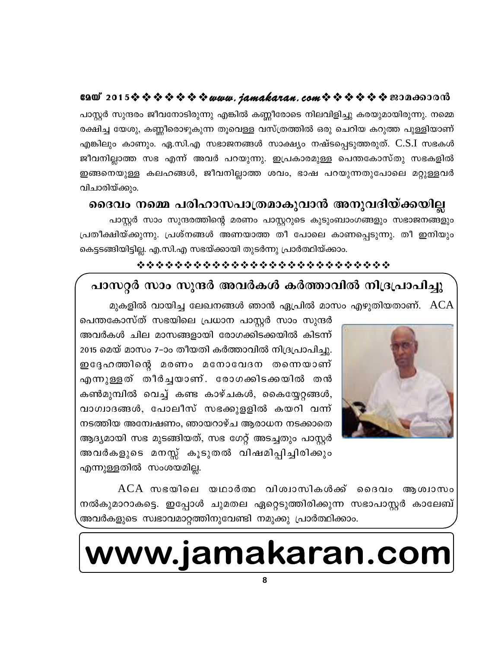# GQW 2015※※※※※※※*www.jamakaran.com*※※※※※※200<del>00</del>0000

പാസ്റ്റർ സുന്ദരം ജീവനോടിരുന്നു എങ്കിൽ കണ്ണീരോടെ നിലവിളിച്ചു കരയുമായിരുന്നു. നമ്മെ രക്ഷിച്ച യേശു, കണ്ണീരൊഴുകുന്ന തൂവെള്ള വസ്ത്രത്തിൽ ഒരു ചെറിയ കറുത്ത പുള്ളിയാണ് എങ്കിലും കാണും. ഏ.സി.എ സഭാജനങ്ങൾ സാക്ഷ്യം നഷ്ടപ്പെടുത്തരുത്. C.S.I സഭകൾ ജീവനില്ലാത്ത സഭ എന്ന് അവർ പറയുന്നു. ഇപ്രകാരമുള്ള പെന്തകോസ്തു സഭകളിൽ ഇങ്ങനെയുള്ള കലഹങ്ങൾ, ജീവനില്ലാത്ത ശവം, ഭാഷ പറയുന്നതുപോലെ മറ്റുള്ളവർ വിചാരിയ്ക്കും.

## ദൈവം നമ്മെ പരിഹാസപാത്രമാകുവാൻ അനുവദിയ്ക്കയില്ല

പാസ്റ്റർ സാം സുന്ദരത്തിന്റെ മരണം പാസ്റ്ററുടെ കുടുംബാംഗങ്ങളും സഭാജനങ്ങളും പ്രതീക്ഷിയ്ക്കുന്നു. പ്രശ്നങ്ങൾ അണയാത്ത തീ പോലെ കാണപ്പെടുന്നു. തീ ഇനിയും കെട്ടടങ്ങിയിട്ടില്ല. എ.സി.എ സഭയ്ക്കായി തുടർന്നു പ്രാർത്ഥിയ്ക്കാം.

### \*\*\*\*\*\*\*\*\*\*\*\*\*\*\*\*\*\*\*\*\*\*\*\*\*\*\*\*

# പാസറ്റർ സാം സുന്ദർ അവർകൾ കർത്താവിൽ നിദ്രപ്രാപിച്ചു

മുകളിൽ വായിച്ച ലേഖനങ്ങൾ ഞാൻ ഏപ്രിൽ മാസം എഴുതിയതാണ്. ACA



പെന്തകോസ്ത് സഭയിലെ പ്രധാന പാസ്റ്റർ സാം സുന്ദർ അവർകൾ ചില മാസങ്ങളായി രോഗക്കിടക്കയിൽ കിടന്ന് 2015 മെയ് മാസം 7–ാം തീയതി കർത്താവിൽ നിദ്രപ്രാപിച്ചു. ഇദ്ദേഹത്തിന്റെ മരണം മനോവേദന തന്നെയാണ് എന്നുള്ളത് തീർച്ചയാണ്. രോഗക്കിടക്കയിൽ തൻ കൺമുമ്പിൽ വെച്ച് കണ്ട കാഴ്ചകൾ, കൈയ്യേറ്റങ്ങൾ, വാഗ്വാദങ്ങൾ, പോലീസ് സഭക്കുളളിൽ കയറി വന്ന് നടത്തിയ അന്വേഷണം, ഞായറാഴ്ച ആരാധന നടക്കാതെ ആദ്യമായി സഭ മുടങ്ങിയത്, സഭ ഗേറ്റ് അടച്ചതും പാസ്റ്റർ അവർകളുടെ മനസ്സ് കൂടുതൽ വിഷമിപ്പിച്ചിരിക്കും എന്നുള്ളതിൽ സംശയമില്ല.

 $ACA$  സഭയിലെ യഥാർത്ഥ വിശ്വാസികൾക്ക് ദൈവം ആശ്വാസം നൽകുമാറാകട്ടെ. ഇപ്പോൾ ചുമതല ഏറ്റെടുത്തിരിക്കുന്ന സഭാപാസ്റ്റർ കാലേബ് അവർകളുടെ സ്വഭാവമാറ്റത്തിനുവേണ്ടി നമുക്കു പ്രാർത്ഥിക്കാം.

# www.jamakaran.com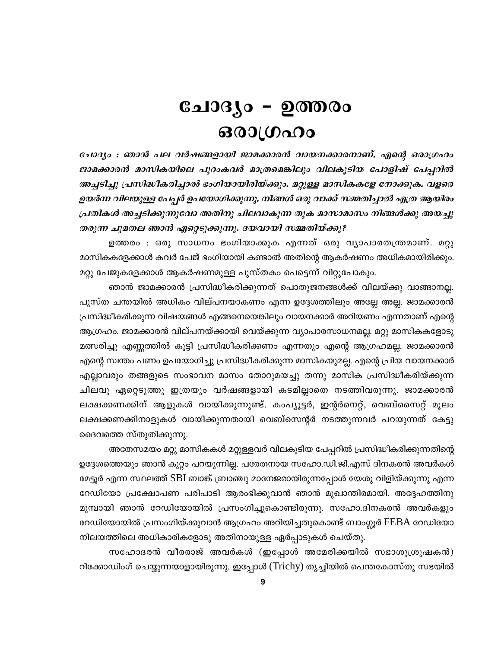# ചോദ്യം – ഉത്തരം ഒരാഗ്രഹം

ചോദ്യം : ഞാൻ പല വർഷങ്ങളായി ജാമക്കാരൻ വായനക്കാരനാണ്. എന്റെ ഒരാഗ്രഹം ജാമക്കാരൻ മാസികയിലെ പുറംകവർ മാത്രമെങ്കിലും വിലകൂടിയ പോളിഷ് പേപ്പറിൽ അച്ചടിച്ചു പ്രസിദ്ധീകരിച്ചാൽ ഭംഗിയായിരിയ്ക്കും. മറ്റുള്ള മാസികകളേ നോക്കുക. വളരെ ഉയർന്ന വിലയുള്ള പേപ്പർ ഉപയോഗിക്കുന്നു. നിങ്ങൾ ഒരു വാക്ക് സമ്മതിച്ചാൽ എത്ര ആയിരം പ്രതികൾ അച്ചടിക്കുന്നുവോ അതിനു ചിലവാകുന്ന തുക മാസാമാസം നിങ്ങൾക്കു അയച്ചു തരുന്ന ചുമതല ഞാൻ ഏറ്റെടുക്കുന്നു. ദയവായി സമ്മതിയ്ക്കു?

ഉത്തരം : ഒരു സാധനം ഭംഗിയാക്കുക എന്നത് ഒരു വ്യാപാരതന്ത്രമാണ്. മറ്റു മാസികകളേക്കാൾ കവർ പേജ് ഭംഗിയായി കണ്ടാൽ അതിന്റെ ആകർഷണം അധികമായിരിക്കും. മറ്റു പേജുകളേക്കാൾ ആകർഷണമുള്ള പുസ്തകം പെട്ടെന്ന് വിറ്റുപോകും.

ഞാൻ ജാമക്കാരൻ പ്രസിദ്ധീകരിക്കുന്നത് പൊതുജനങ്ങൾക്ക് വിലയ്ക്കു വാങ്ങാനല്ല. പുസ്ത ചന്തയിൽ അധികം വില്പനയാകണം എന്ന ഉദ്ദേശത്തിലും അല്ലേ അല്ല. ജാമക്കാരൻ പ്രസിദ്ധീകരിക്കുന്ന വിഷയങ്ങൾ എങ്ങനെയെങ്കിലും വായനക്കാർ അറിയണം എന്നതാണ് എന്റെ ആഗ്രഹം. ജാമക്കാരൻ വില്പനയ്ക്കായി വെയ്ക്കുന്ന വ്യാപാരസാധനമല്ല. മറ്റു മാസികകളോടു മത്സരിച്ചു എണ്ണത്തിൽ കൂട്ടി പ്രസിദ്ധീകരിക്കണം എന്നതും എന്റെ ആഗ്രഹമല്ല. ജാമക്കാരൻ എന്റെ സ്വന്തം പണം ഉപയോഗിച്ചു പ്രസിദ്ധീകരിക്കുന്ന മാസികയുമല്ല. എന്റെ പ്രിയ വായനക്കാർ എല്ലാവരും തങ്ങളുടെ സംഭാവന മാസം തോറുമയച്ചു തന്നു മാസിക പ്രസിദ്ധീകരിയ്ക്കുന്ന ചിലവു ഏറ്റെടുത്തു ഇത്രയും വർഷങ്ങളായി കടമില്ലാതെ നടത്തിവരുന്നു. ജാമക്കാരൻ ലക്ഷക്കണക്കിന് ആളുകൾ വായിക്കുന്നുണ്ട്. കംപ്യൂട്ടർ, ഇന്റർനെറ്റ്, വെബ്സൈറ്റ് മൂലം ലക്ഷക്കണക്കിനാളുകൾ വായിക്കുന്നതായി വെബ്സെന്റർ നടത്തുന്നവർ പറയുന്നത് കേട്ടു ദൈവത്തെ സ്തുതിക്കുന്നു.

അതേസമയം മറ്റു മാസികകൾ മറ്റുള്ളവർ വിലകൂടിയ പേപ്പറിൽ പ്രസിദ്ധീകരിക്കുന്നതിന്റെ ഉദ്ദേശത്തെയും ഞാൻ കുറ്റം പറയുന്നില്ല. പരേതനായ സഹോ.ഡി.ജി.എസ് ദിനകരൻ അവർകൾ മേട്ടൂർ എന്ന സ്ഥലത്ത് SBI ബാങ്ക് ബ്രാഞ്ചു മാനേജരായിരുന്നപ്പോൾ യേശു വിളിയ്ക്കുന്നു എന്ന റേഡിയോ പ്രക്ഷോപണ പരിപാടി ആരംഭിക്കുവാൻ ഞാൻ മുഖാന്തിരമായി. അദ്ദേഹത്തിനു മുമ്പായി ഞാൻ റേഡിയോയിൽ പ്രസംഗിച്ചുകൊണ്ടിരുന്നു. സഹോ.ദിനകരൻ അവർകളും റേഡിയോയിൽ പ്രസംഗിയ്ക്കുവാൻ ആഗ്രഹം അറിയിച്ചതുകൊണ്ട് ബാംഗ്ലൂർ FEBA റേഡിയോ നിലയത്തിലെ അധികാരികളോടു അതിനായുള്ള ഏർപ്പാടുകൾ ചെയ്തു.

സഹോദരൻ വീരരാജ് അവർകൾ (ഇപ്പോൾ അമേരിക്കയിൽ സഭാശുശ്രൂഷകൻ) റിക്കോഡിംഗ് ചെയ്യുന്നയാളായിരുന്നു. ഇപ്പോൾ (Trichy) തൃച്ചിയിൽ പെന്തകോസ്തു സഭയിൽ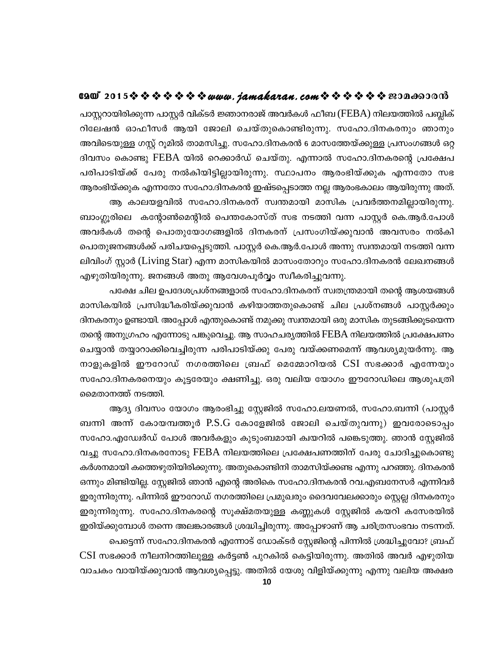#### GAO 2015※※※※※※※*www.jamakaran.com*※※※※※※200<del>.00</del>00m3

പാസ്റ്ററായിരിക്കുന്ന പാസ്റ്റർ വിക്ടർ ജ്ഞാനരാജ് അവർകൾ ഫീബ (FEBA) നിലയത്തിൽ പബ്ലിക് റിലേഷൻ ഓഫീസർ ആയി ജോലി ചെയ്തുകൊണ്ടിരുന്നു. സഹോ.ദിനകരനും ഞാനും അവിടെയുള്ള ഗസ്റ്റ് റൂമിൽ താമസിച്ചു. സഹോ.ദിനകരൻ 6 മാസത്തേയ്ക്കുള്ള പ്രസംഗങ്ങൾ ഒറ്റ ദിവസം കൊണ്ടു FEBA യിൽ റെക്കാർഡ് ചെയ്തു. എന്നാൽ സഹോ.ദിനകരന്റെ പ്രക്ഷേപ പരിപാടിയ്ക്ക് പേരു നൽകിയിട്ടില്ലായിരുന്നു. സ്ഥാപനം ആരംഭിയ്ക്കുക എന്നതോ സഭ ആരംഭിയ്ക്കുക എന്നതോ സഹോ.ദിനകരൻ ഇഷ്ടപ്പെടാത്ത നല്ല ആരംഭകാലം ആയിരുന്നു അത്.

ആ കാലയളവിൽ സഹോ.ദിനകരന് സ്വന്തമായി മാസിക പ്രവർത്തനമില്ലായിരുന്നു. ബാംഗ്ലൂരിലെ കന്റോൺമെന്റിൽ പെന്തകോസ്ത് സഭ നടത്തി വന്ന പാസ്ലർ കെ.ആർ.പോൾ അവർകൾ തന്റെ പൊതുയോഗങ്ങളിൽ ദിനകരന് പ്രസംഗിയ്ക്കുവാൻ അവസരം നൽകി പൊതുജനങ്ങൾക്ക് പരിചയപ്പെടുത്തി. പാസ്റ്റർ കെ.ആർ.പോൾ അന്നു സ്വന്തമായി നടത്തി വന്ന ലിവിംഗ് സ്ലാർ (Living Star) എന്ന മാസികയിൽ മാസംതോറും സഹോ.ദിനകരൻ ലേഖനങ്ങൾ എഴുതിയിരുന്നു. ജനങ്ങൾ അതു ആവേശപൂർവ്വം സ്വീകരിച്ചുവന്നു.

പക്ഷേ ചില ഉപദേശപ്രശ്നങ്ങളാൽ സഹോ.ദിനകരന് സ്വതന്ത്രമായി തന്റെ ആശയങ്ങൾ മാസികയിൽ പ്രസിദ്ധീകരിയ്ക്കുവാൻ കഴിയാത്തതുകൊണ്ട് ചില പ്രശ്നങ്ങൾ പാസ്റ്റർക്കും ദിനകരനും ഉണ്ടായി. അപ്പോൾ എന്തുകൊണ്ട് നമുക്കു സ്വന്തമായി ഒരു മാസിക തുടങ്ങിക്കുടയെന്ന തന്റെ അനുഗ്രഹം എന്നോടു പങ്കുവെച്ചു. ആ സാഹചര്യത്തിൽ FEBA നിലയത്തിൽ പ്രക്ഷേപണം ചെയ്യാൻ തയ്യാറാക്കിവെച്ചിരുന്ന പരിപാടിയ്ക്കു പേരു വയ്ക്കണമെന്ന് ആവശ്യമുയർന്നു. ആ നാളുകളിൽ ഈറോഡ് നഗരത്തിലെ ബ്രഫ് മെമ്മോറിയൽ CSI സഭക്കാർ എന്നേയും സഹോ.ദിനകരനെയും കൂട്ടരേയും ക്ഷണിച്ചു. ഒരു വലിയ യോഗം ഈറോഡിലെ ആശുപത്രി മൈതാനത്ത് നടത്തി.

ആദ്യ ദിവസം യോഗം ആരംഭിച്ചു സ്റ്റേജിൽ സഹോ.ലയണൽ, സഹോ.ബന്നി (പാസ്റ്റർ ബന്നി അന്ന് കോയമ്പത്തുർ  $P.S.G$  കോളേജിൽ ജോലി ചെയ്തുവന്നു) ഇവരോടൊപ്പം സഹോ.എഡ്വേർഡ് പോൾ അവർകളും കുടുംബമായി ക്വയറിൽ പങ്കെടുത്തു. ഞാൻ സ്റ്റേജിൽ വച്ചു സഹോ.ദിനകരനോടു FEBA നിലയത്തിലെ പ്രക്ഷേപണത്തിന് പേരു ചോദിച്ചുകൊണ്ടു കർശനമായി കത്തെഴുതിയിരിക്കുന്നു. അതുകൊണ്ടിനി താമസിയ്ക്കണ്ട എന്നു പറഞ്ഞു. ദിനകരൻ ഒന്നും മിണ്ടിയില്ല. സ്കേജിൽ ഞാൻ എന്റെ അരികെ സഹോ.ദിനകരൻ റവ.എബനേസർ എന്നിവർ ഇരുന്നിരുന്നു. പിന്നിൽ ഈറോഡ് നഗരത്തിലെ പ്രമുഖരും ദൈവവേലക്കാരും സ്റ്റെല്ല ദിനകരനും ഇരുന്നിരുന്നു. സഹോ.ദിനകരന്റെ സൂക്ഷ്മതയുള്ള കണ്ണുകൾ സ്റ്റേജിൽ കയറി കസേരയിൽ ഇരിയ്ക്കുമ്പോൾ തന്നെ അലങ്കാരങ്ങൾ ശ്രദ്ധിച്ചിരുന്നു. അപ്പോഴാണ് ആ ചരിത്രസംഭവം നടന്നത്. പെട്ടെന്ന് സഹോ.ദിനകരൻ എന്നോട് ഡോക്ടർ സ്റ്റേജിന്റെ പിന്നിൽ ശ്രദ്ധിച്ചുവോ? ബ്രഫ്  $\operatorname{CSI}$  സഭക്കാർ നീലനിറത്തിലുള്ള കർട്ടൺ പുറകിൽ കെട്ടിയിരുന്നു. അതിൽ അവർ എഴുതിയ വാചകം വായിയ്ക്കുവാൻ ആവശ്യപ്പെട്ടു. അതിൽ യേശു വിളിയ്ക്കുന്നു എന്നു വലിയ അക്ഷര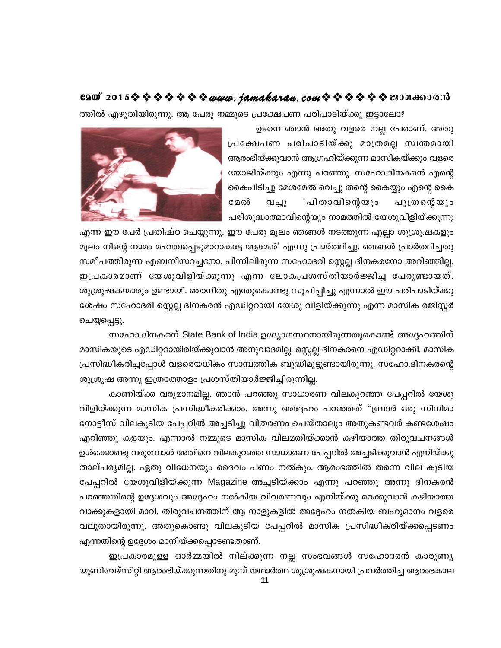ത്തിൽ എഴുതിയിരുന്നു. ആ പേരു നമ്മുടെ പ്രക്ഷേപണ പരിപാടിയ്ക്കു ഇട്ടാലോ?

ഉടനെ ഞാൻ അതു വളരെ നല്ല പേരാണ്. അതു പ്രക്ഷേപണ പരിപാടിയ്ക്കു മാത്രമല്ല സ്വന്തമായി ആരംഭിയ്ക്കുവാൻ ആഗ്രഹിയ്ക്കുന്ന മാസികയ്ക്കും വളരെ യോജിയ്ക്കും എന്നു പറഞ്ഞു. സഹോ.ദിനകരൻ എന്റെ കൈപിടിച്ചു മേശമേൽ വെച്ചു തന്റെ കൈയ്യും എന്റെ കൈ മേൽ വച്ചു 'പിതാവിന്റെയും പുത്രന്റെയും പരിശുദ്ധാത്മാവിന്റെയും നാമത്തിൽ യേശുവിളിയ്ക്കുന്നു



എന്ന ഈ പേർ പ്രതിഷ്ഠ ചെയ്യുന്നു. ഈ പേരു മൂലം ഞങ്ങൾ നടത്തുന്ന എല്ലാ ശുശ്രൂഷകളും മൂലം നിന്റെ നാമം മഹത്വപ്പെടുമാറാകട്ടേ ആമേൻ' എന്നു പ്രാർത്ഥിച്ചു. ഞങ്ങൾ പ്രാർത്ഥിച്ചതു സമീപത്തിരുന്ന എബനീസറച്ചനോ, പിന്നിലിരുന്ന സഹോദരി സ്റ്റെല്ല ദിനകരനോ അറിഞ്ഞില്ല. ഇപ്രകാരമാണ് യേശുവിളിയ്ക്കുന്നു എന്ന ലോകപ്രശസ്തിയാർജ്ജിച്ച പേരുണ്ടായത്. ശുശ്രൂഷകന്മാരും ഉണ്ടായി. ഞാനിതു എന്തുകൊണ്ടു സൂചിപ്പിച്ചു എന്നാൽ ഈ പരിപാടിയ്ക്കു ശേഷം സഹോദരി സ്റ്റെല്ല ദിനകരൻ എഡിറ്ററായി യേശു വിളിയ്ക്കുന്നു എന്ന മാസിക രജിസ്റ്റർ ചെയ്യപ്പെട്ടു.

സഹോ.ദിനകരന് State Bank of India ഉദ്യോഗസ്ഥനായിരുന്നതുകൊണ്ട് അദ്ദേഹത്തിന് മാസികയുടെ എഡിറ്ററായിരിയ്ക്കുവാൻ അനുവാദമില്ല. സ്റ്റെല്ല ദിനകരനെ എഡിറ്ററാക്കി. മാസിക പ്രസിദ്ധീകരിച്ചപ്പോൾ വളരെയധികം സാമ്പത്തിക ബുദ്ധിമുട്ടുണ്ടായിരുന്നു. സഹോ.ദിനകരന്റെ ശുശ്രൂഷ അന്നു ഇത്രത്തോളം പ്രശസ്തിയാർജ്ജിച്ചിരുന്നില്ല.

കാണിയ്ക്ക വരുമാനമില്ല. ഞാൻ പറഞ്ഞു സാധാരണ വിലകുറഞ്ഞ പേപ്പറിൽ യേശു വിളിയ്ക്കുന്ന മാസിക പ്രസിദ്ധീകരിക്കാം. അന്നു അദ്ദേഹം പറഞ്ഞത് "ബ്രദർ ഒരു സിനിമാ നോട്ടീസ് വിലകൂടിയ പേപ്പറിൽ അച്ചടിച്ചു വിതരണം ചെയ്താലും അതുകണ്ടവർ കണ്ടശേഷം എറിഞ്ഞു കളയും. എന്നാൽ നമ്മുടെ മാസിക വിലമതിയ്ക്കാൻ കഴിയാത്ത തിരുവചനങ്ങൾ ഉൾക്കൊണ്ടു വരുമ്പോൾ അതിനെ വിലകുറഞ്ഞ സാധാരണ പേപ്പറിൽ അച്ചടിക്കുവാൻ എനിയ്ക്കു താല്പര്യമില്ല. ഏതു വിധേനയും ദൈവം പണം നൽകും. ആരംഭത്തിൽ തന്നെ വില കൂടിയ പേപ്പറിൽ യേശുവിളിയ്ക്കുന്ന Magazine അച്ചടിയ്ക്കാം എന്നു പറഞ്ഞു അന്നു ദിനകരൻ പറഞ്ഞതിന്റെ ഉദ്ദേശവും അദ്ദേഹം നൽകിയ വിവരണവും എനിയ്ക്കു മറക്കുവാൻ കഴിയാത്ത വാക്കുകളായി മാറി. തിരുവചനത്തിന് ആ നാളുകളിൽ അദ്ദേഹം നൽകിയ ബഹുമാനം വളരെ വലുതായിരുന്നു. അതുകൊണ്ടു വിലകൂടിയ പേപ്പറിൽ മാസിക പ്രസിദ്ധീകരിയ്ക്കപ്പെടണം എന്നതിന്റെ ഉദ്ദേശം മാനിയ്ക്കപ്പെടേണ്ടതാണ്.

ഇപ്രകാരമുള്ള ഓർമ്മയിൽ നില്ക്കുന്ന നല്ല സംഭവങ്ങൾ സഹോദരൻ കാരുണ്യ യൂണിവേഴ്സിറ്റി ആരംഭിയ്ക്കുന്നതിനു മുമ്പ് യഥാർത്ഥ ശുശ്രൂഷകനായി പ്രവർത്തിച്ച ആരംഭകാല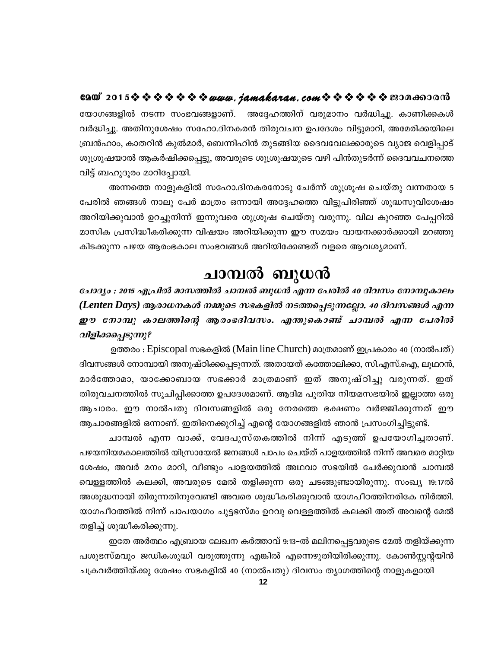യോഗങ്ങളിൽ നടന്ന സംഭവങ്ങളാണ്. അദ്ദേഹത്തിന് വരുമാനം വർദ്ധിച്ചു. കാണിക്കകൾ വർദ്ധിച്ചു. അതിനുശേഷം സഹോ.ദിനകരൻ തിരുവചന ഉപദേശം വിട്ടുമാറി, അമേരിക്കയിലെ ബ്രൻഹാം, കാതറിൻ കുൽമാർ, ബെന്നിഹിൻ തുടങ്ങിയ ദൈവവേലക്കാരുടെ വ്യാജ വെളിപ്പാട് ശുശ്രൂഷയാൽ ആകർഷിക്കപ്പെട്ടു, അവരുടെ ശുശ്രൂഷയുടെ വഴി പിൻതുടർന്ന് ദൈവവചനത്തെ വിട്ട് ബഹുദൂരം മാറിപ്പോയി.

അന്നത്തെ നാളുകളിൽ സഹോ.ദിനകരനോടു ചേർന്ന് ശുശ്രൂഷ ചെയ്തു വന്നതായ 5 പേരിൽ ഞങ്ങൾ നാലു പേർ മാത്രം ഒന്നായി അദ്ദേഹത്തെ വിട്ടുപിരിഞ്ഞ് ശുദ്ധസുവിശേഷം അറിയിക്കുവാൻ ഉറച്ചുനിന്ന് ഇന്നുവരെ ശുശ്രൂഷ ചെയ്തു വരുന്നു. വില കുറഞ്ഞ പേപ്പറിൽ മാസിക പ്രസിദ്ധീകരിക്കുന്ന വിഷയം അറിയിക്കുന്ന ഈ സമയം വായനക്കാർക്കായി മറഞ്ഞു കിടക്കുന്ന പഴയ ആരംഭകാല സംഭവങ്ങൾ അറിയിക്കേണ്ടത് വളരെ ആവശ്യമാണ്.

# ചാമ്പൽ ബുധൻ

ചോദ്യം : 2015 ഏപ്രിൽ മാസത്തിൽ ചാമ്പൽ ബുധൻ എന്ന പേരിൽ 40 ദിവസം നോമ്പുകാലം (Lenten Days) ആരാധനകൾ നമ്മുടെ സഭകളിൽ നടത്തപ്പെടുന്നല്ലോ. 40 ദിവസങ്ങൾ എന്ന ഈ നോമ്പു കാലത്തിന്റെ ആരംഭദിവസം. എന്തുകൊണ്ട് ചാമ്പൽ എന്ന പേരിൽ വിളിക്കപ്പെടുന്നു?

ഉത്തരം : Episcopal സഭകളിൽ (Main line Church) മാത്രമാണ് ഇപ്രകാരം 40 (നാൽപത്) ദിവസങ്ങൾ നോമ്പായി അനുഷ്ഠിക്കപ്പെടുന്നത്. അതായത് കത്തോലിക്കാ, സി.എസ്.ഐ, ലൂഥറൻ, മാർത്തോമാ, യാക്കോബായ സഭക്കാർ മാത്രമാണ് ഇത് അനുഷ്ഠിച്ചു വരുന്നത്. ഇത് തിരുവചനത്തിൽ സൂചിപ്പിക്കാത്ത ഉപദേശമാണ്. ആദിമ പുതിയ നിയമസഭയിൽ ഇല്ലാത്ത ഒരു ആചാരം. ഈ നാൽപതു ദിവസങ്ങളിൽ ഒരു നേരത്തെ ഭക്ഷണം വർജ്ജിക്കുന്നത് ഈ ആചാരങ്ങളിൽ ഒന്നാണ്. ഇതിനെക്കുറിച്ച് എന്റെ യോഗങ്ങളിൽ ഞാൻ പ്രസംഗിച്ചിട്ടുണ്ട്.

ചാമ്പൽ എന്ന വാക്ക്, വേദപുസ്തകത്തിൽ നിന്ന് എടുത്ത് ഉപയോഗിച്ചതാണ്. പഴയനിയമകാലത്തിൽ യിസ്രായേൽ ജനങ്ങൾ പാപം ചെയ്ത് പാളയത്തിൽ നിന്ന് അവരെ മാറ്റിയ ശേഷം, അവർ മനം മാറി, വീണ്ടും പാളയത്തിൽ അഥവാ സഭയിൽ ചേർക്കുവാൻ ചാമ്പൽ വെള്ളത്തിൽ കലക്കി, അവരുടെ മേൽ തളിക്കുന്ന ഒരു ചടങ്ങുണ്ടായിരുന്നു. സംഖ്യ 19:17ൽ അശുദ്ധനായി തിരുന്നതിനുവേണ്ടി അവരെ ശുദ്ധീകരിക്കുവാൻ യാഗപീഠത്തിനരികേ നിർത്തി. യാഗപീഠത്തിൽ നിന്ന് പാപയാഗം ചുട്ടഭസ്മം ഉറവു വെള്ളത്തിൽ കലക്കി അത് അവന്റെ മേൽ തളിച്ച് ശുദ്ധീകരിക്കുന്നു.

ഇതേ അർത്ഥം എബ്രായ ലേഖന കർത്താവ് 9:13–ൽ മലിനപ്പെട്ടവരുടെ മേൽ തളിയ്ക്കുന്ന പശുഭസ്മവും ജഡികശുദ്ധി വരുത്തുന്നു എങ്കിൽ എന്നെഴുതിയിരിക്കുന്നു. കോൺസ്റ്റന്റയിൻ ചക്രവർത്തിയ്ക്കു ശേഷം സഭകളിൽ 40 (നാൽപതു) ദിവസം ത്യാഗത്തിന്റെ നാളുകളായി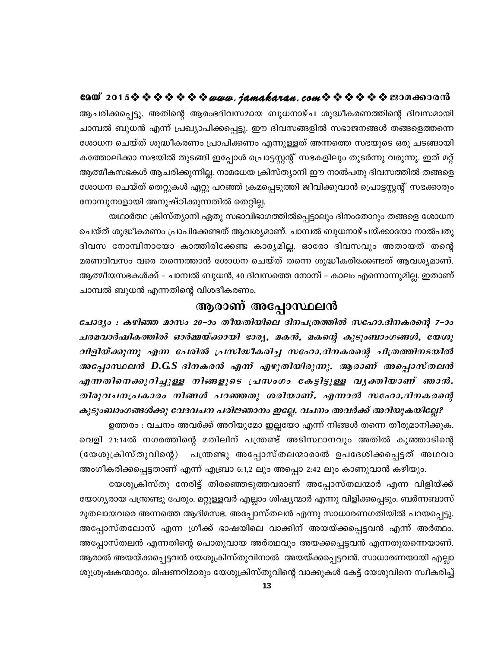ആചരിക്കപ്പെട്ടു. അതിന്റെ ആരംഭദിവസമായ ബുധനാഴ്ച ശുദ്ധീകരണത്തിന്റെ ദിവസമായി ചാമ്പൽ ബുധൻ എന്ന് പ്രഖ്യാപിക്കപ്പെട്ടു. ഈ ദിവസങ്ങളിൽ സഭാജനങ്ങൾ തങ്ങളെത്തന്നെ ശോധന ചെയ്ത് ശുദ്ധീകരണം പ്രാപിക്കണം എന്നുള്ളത് അന്നത്തെ സഭയുടെ ഒരു ചടങ്ങായി കത്തോലിക്കാ സഭയിൽ തുടങ്ങി ഇപ്പോൾ പ്രൊട്ടസ്റ്റന്റ് സഭകളിലും തുടർന്നു വരുന്നു. ഇത് മറ്റ് ആത്മീകസഭകൾ ആചരിക്കുന്നില്ല. നാമധേയ ക്രിസ്ത്യാനി ഈ നാൽപതു ദിവസത്തിൽ തങ്ങളെ ശോധന ചെയ്ത് തെറ്റുകൾ ഏറ്റു പറഞ്ഞ് ക്രമപ്പെടുത്തി ജീവിക്കുവാൻ പ്രൊട്ടസ്റ്റന്റ് സഭക്കാരും നോമ്പുനാളായി അനുഷ്ഠിക്കുന്നതിൽ തെറ്റില്ല.

യഥാർത്ഥ ക്രിസ്ത്യാനി ഏതു സഭാവിഭാഗത്തിൽപ്പെട്ടാലും ദിനംതോറും തങ്ങളെ ശോധന ചെയ്ത് ശുദ്ധീകരണം പ്രാപിക്കേണ്ടത് ആവശ്യമാണ്. ചാമ്പൽ ബുധനാഴ്ചയ്ക്കായോ നാൽപതു ദിവസ നോമ്പിനായോ കാത്തിരിക്കേണ്ട കാര്യമില്ല. ഓരോ ദിവസവും അതായത് തന്റെ മരണദിവസം വരെ തന്നെത്താൻ ശോധന ചെയ്ത് തന്നെ ശുദ്ധീകരിക്കേണ്ടത് ആവശ്യമാണ്. ആത്മീയസഭകൾക്ക് – ചാമ്പൽ ബുധൻ, 40 ദിവസത്തെ നോമ്പ് – കാലം എന്നൊന്നുമില്ല. ഇതാണ് ചാമ്പൽ ബുധൻ എന്നതിന്റെ വിശദീകരണം.

#### ആരാണ് അപ്പോസ്ഥലൻ

ചോദ്യം : കഴിഞ്ഞ മാസം 20–ാം തീയതിയിലെ ദിനപത്രത്തിൽ സഹോ.ദിനകരന്റെ 7–ാം ചരമവാർഷികത്തിൽ ഓർമ്മയ്ക്കായി ഭാര്യ, മകൻ, മകന്റെ കുടുംബാംഗങ്ങൾ, യേശു വിളിയ്ക്കുന്നു എന്ന പേരിൽ പ്രസിദ്ധീകരിച്ച സഹോ.ദിനകരന്റെ ചിത്രത്തിനടയിൽ അപ്പോസ്ഥലൻ D.G.S ദിനകരൻ എന്ന് എഴുതിയിരുന്നു. ആരാണ് അപ്പൊസ്തലൻ എന്നതിനെക്കുറിച്ചുള്ള നിങ്ങളുടെ പ്രസംഗം കേട്ടിട്ടുള്ള വൃക്തിയാണ് ഞാൻ. തിരുവചനപ്രകാരം നിങ്ങൾ പറഞ്ഞതു ശരിയാണ്. എന്നാൽ സഹോ.ദിനകരന്റെ

കുടുംബാംഗങ്ങൾക്കു വേദവചന പരിജ്ഞാനം ഇല്ലേ. വചനം അവർക്ക് അറിയുകയില്ലേ? ഉത്തരം : വചനം അവർക്ക് അറിയുമോ ഇല്ലയോ എന്ന് നിങ്ങൾ തന്നെ തീരുമാനിക്കുക. വെളി 21:14ൽ നഗരത്തിന്റെ മതിലിന് പന്ത്രണ്ട് അടിസ്ഥാനവും അതിൽ കുഞ്ഞാടിന്റെ (യേശുക്രിസ്തുവിന്റെ) പന്ത്രണ്ടു അപ്പോസ്തലന്മാരാൽ ഉപദേശിക്കപ്പെട്ടത് അഥവാ അംഗീകരിക്കപ്പെട്ടതാണ് എന്ന് എബ്രാ 6:1,2 ലും അപ്പൊ 2:42 ലും കാണുവാൻ കഴിയും.

യേശുക്രിസ്തു നേരിട്ട് തിരഞ്ഞെടുത്തവരാണ് അപ്പോസ്തലന്മാർ എന്ന വിളിയ്ക്ക് യോഗ്യരായ പന്ത്രണ്ടു പേരും. മറ്റുള്ളവർ എല്ലാം ശിഷ്യന്മാർ എന്നു വിളിക്കപ്പെടും. ബർന്നബാസ് മുതലായവരെ അന്നത്തെ ആദിമസഭ. അപ്പോസ്തലൻ എന്നു സാധാരണഗതിയിൽ പറയപ്പെട്ടു. അപ്പോസ്തലോസ് എന്ന ഗ്രീക്ക് ഭാഷയിലെ വാക്കിന് അയയ്ക്കപ്പെട്ടവൻ എന്ന് അർത്ഥം. അപ്പോസ്തലൻ എന്നതിന്റെ പൊതുവായ അർത്ഥവും അയക്കപ്പെട്ടവൻ എന്നതുതന്നെയാണ്. ആരാൽ അയയ്ക്കപ്പെട്ടവൻ യേശുക്രിസ്തുവിനാൽ അയയ്ക്കപ്പെട്ടവൻ. സാധാരണയായി എല്ലാ ശുശ്രൂഷകന്മാരും. മിഷണറിമാരും യേശുക്രിസ്തുവിന്റെ വാക്കുകൾ കേട്ട് യേശുവിനെ സ്വീകരിച്ച്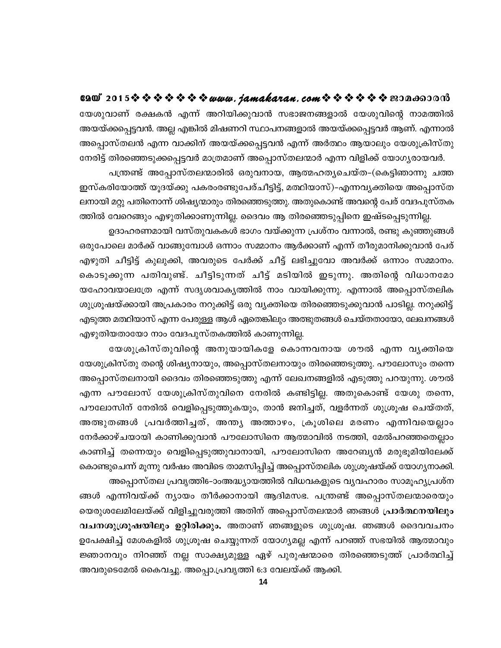e2@\* 2015 \$ \$ \$ \$ \$ \$ \$ *\$ www. jamakaran.com* \$ \$ \$ \$ \$ \$ \$ \$20Ano0018 യേശുവാണ് രക്ഷകൻ എന്ന് അറിയിക്കുവാൻ സഭാജനങ്ങളാൽ യേശുവിന്റെ നാമത്തിൽ അയയ്ക്കപ്പെട്ടവൻ. അല്ല എങ്കിൽ മിഷണറി സ്ഥാപനങ്ങളാൽ അയയ്ക്കപ്പെട്ടവർ ആണ്. എന്നാൽ അപ്പൊസ്തലൻ എന്ന വാക്കിന് അയയ്ക്കപ്പെട്ടവൻ എന്ന് അർത്ഥം ആയാലും യേശുക്രിസ്തു നേരിട്ട് തിരഞ്ഞെടുക്കപ്പെട്ടവർ മാത്രമാണ് അപ്പൊസ്തലന്മാർ എന്ന വിളിക്ക് യോഗൃരായവർ.

പന്ത്രണ്ട് അപ്പോസ്തലന്മാരിൽ ഒരുവനായ, ആത്മഹതൃചെയ്ത–(കെട്ടിഞാന്നു ചത്ത ഇസ്കരിയോത്ത് യൂദയ്ക്കു പകരംരണ്ടുപേര്ചീട്ടിട്ട്, മത്ഥിയാസ്)-എന്നവ്യക്തിയെ അപ്പൊസ്ത ലനായി മറ്റു പതിനൊന്ന് ശിഷ്യന്മാരും തിരഞ്ഞെടുത്തു. അതുകൊണ്ട് അവന്റെ പേര് വേദപുസ്തക

ത്തിൽ വേറെങ്ങും എഴുതിക്കാണുന്നില്ല. ദൈവം ആ തിരഞ്ഞെടുപ്പിനെ ഇഷ്ടപ്പെടുന്നില്ല. ഉദാഹരണമായി വസ്തുവകകൾ ഭാഗം വയ്ക്കുന്ന പ്രശ്നം വന്നാൽ, രണ്ടു കുഞ്ഞുങ്ങൾ ഒരുപോലെ മാർക്ക് വാങ്ങുമ്പോൾ ഒന്നാം സമ്മാനം ആർക്കാണ് എന്ന് തീരുമാനിക്കുവാൻ പേര് എഴുതി ചീട്ടിട്ട് കുലുക്കി, അവരുടെ പേർക്ക് ചീട്ട് ലഭിച്ചുവോ അവർക്ക് ഒന്നാം സമ്മാനം. കൊടുക്കുന്ന പതിവുണ്ട്. ചീട്ടിടുന്നത് ചീട്ട് മടിയിൽ ഇടുന്നു. അതിന്റെ വിധാനമോ യഹോവയാലത്രേ എന്ന് സദൃശവാകൃത്തിൽ നാം വായിക്കുന്നു. എന്നാൽ അപ്പൊസ്തലിക ശുശ്രൂഷയ്ക്കായി അപ്രകാരം നറുക്കിട്ട് ഒരു വ്യക്തിയെ തിരഞ്ഞെടുക്കുവാൻ പാടില്ല. നറുക്കിട്ട് എടുത്ത മത്ഥിയാസ് എന്ന പേരുള്ള ആൾ ഏതെങ്കിലും അത്ഭുതങ്ങൾ ചെയ്തതായോ, ലേഖനങ്ങൾ എഴുതിയതായോ നാം വേദപുസ്തകത്തിൽ കാണുന്നില്ല.

യേശുക്രിസ്തുവിന്റെ അനുയായികളേ കൊന്നവനായ ശൗൽ എന്ന വൃക്തിയെ യേശുക്രിസ്തു തന്റെ ശിഷ്യനായും, അപ്പൊസ്തലനായും തിരഞ്ഞെടുത്തു. പൗലോസും തന്നെ അപ്പൊസ്തലനായി ദൈവം തിരഞ്ഞെടുത്തു എന്ന് ലേഖനങ്ങളിൽ എടുത്തു പറയുന്നു. ശൗൽ എന്ന പൗലോസ് യേശുക്രിസ്തുവിനെ നേരിൽ കണ്ടിട്ടില്ല. അതുകൊണ്ട് യേശു തന്നെ, പൗലോസിന് നേരിൽ വെളിപ്പെടുത്തുകയും, താൻ ജനിച്ചത്, വളർന്നത് ശുശ്രൂഷ ചെയ്തത്, അത്ഭുതങ്ങൾ പ്രവർത്തിച്ചത്, അന്ത്യ അത്താഴം, ക്രൂശിലെ മരണം എന്നിവയെല്ലാം നേർക്കാഴ്ചയായി കാണിക്കുവാൻ പൗലോസിനെ ആത്മാവിൽ നടത്തി, മേൽപറഞ്ഞതെല്ലാം കാണിച്ച് തന്നെയും വെളിപ്പെടുത്തുവാനായി, പൗലോസിനെ അറേബ്യൻ മരുഭൂമിയിലേക്ക് കൊണ്ടുചെന്ന് മൂന്നു വർഷം അവിടെ താമസിപ്പിച്ച് അപ്പൊസ്തലിക ശുശ്രൂഷയ്ക്ക് യോഗ്യനാക്കി. അപ്പൊസ്തല പ്രവൃത്തി6-ാംഅദ്ധ്യായത്തിൽ വിധവകളുടെ വ്യവഹാരം സാമൂഹ്യപ്രശ്ന

ങ്ങൾ എന്നിവയ്ക്ക് ന്യായം തീർക്കാനായി ആദിമസഭ. പന്ത്രണ്ട് അപ്പൊസ്തലന്മാരെയും യെരുശലേമിലേയ്ക്ക് വിളിച്ചുവരുത്തി അതിന് അപ്പൊസ്തലന്മാർ ഞങ്ങൾ **പ്രാർത്ഥനയിലും** വചനശുശ്രൂഷയിലും ഉറ്റിരിക്കും. അതാണ് ഞങ്ങളുടെ ശുശ്രൂഷ. ഞങ്ങൾ ദൈവവചനം ഉപേക്ഷിച്ച് മേശകളിൽ ശുശ്രൂഷ ചെയ്യുന്നത് യോഗ്യമല്ല എന്ന് പറഞ്ഞ് സഭയിൽ ആത്മാവും ജ്ഞാനവും നിറഞ്ഞ് നല്ല സാക്ഷ്യമുള്ള ഏഴ് പുരുഷന്മാരെ തിരഞ്ഞെടുത്ത് പ്രാർത്ഥിച്ച് അവരുടെമേൽ കൈവച്ചു. അപ്പൊ.പ്രവൃത്തി 6:3 വേലയ്ക്ക് ആക്കി.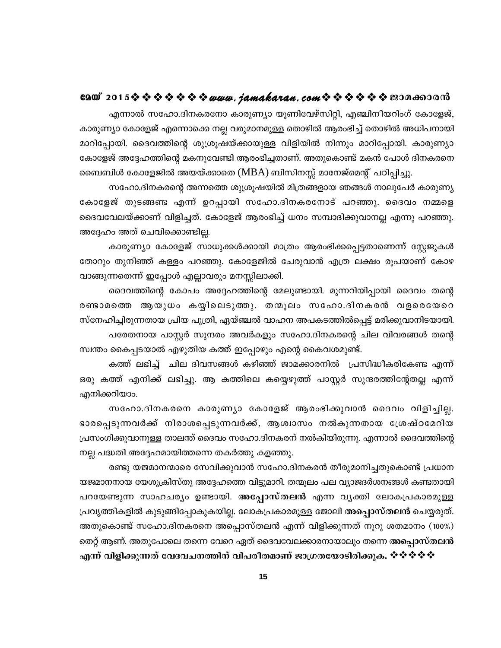#### GAO 2015※※※※※※※*www.jamakaran.com*※※※※※※200c60000

എന്നാൽ സഹോ.ദിനകരനോ കാരുണ്യാ യൂണിവേഴ്സിറ്റി, എഞ്ചിനീയറിംഗ് കോളേജ്, കാരുണ്യാ കോളേജ് എന്നൊക്കെ നല്ല വരുമാനമുള്ള തൊഴിൽ ആരംഭിച്ച് തൊഴിൽ അധിപനായി മാറിപ്പോയി. ദൈവത്തിന്റെ ശുശ്രൂഷയ്ക്കായുള്ള വിളിയിൽ നിന്നും മാറിപ്പോയി. കാരുണ്യാ കോളേജ് അദ്ദേഹത്തിന്റെ മകനുവേണ്ടി ആരംഭിച്ചതാണ്. അതുകൊണ്ട് മകൻ പോൾ ദിനകരനെ ബൈബിൾ കോളേജിൽ അയയ്ക്കാതെ (MBA) ബിസിനസ്സ് മാനേജ്മെന്റ് പഠിപ്പിച്ചു.

സഹോ.ദിനകരന്റെ അന്നത്തെ ശുശ്രൂഷയിൽ മിത്രങ്ങളായ ഞങ്ങൾ നാലുപേർ കാരുണ്യ കോളേജ് തുടങ്ങണ്ട എന്ന് ഉറപ്പായി സഹോ.ദിനകരനോട് പറഞ്ഞു. ദൈവം നമ്മളെ ദൈവവേലയ്ക്കാണ് വിളിച്ചത്. കോളേജ് ആരംഭിച്ച് ധനം സമ്പാദിക്കുവാനല്ല എന്നു പറഞ്ഞു. അദ്ദേഹം അത് ചെവിക്കൊണ്ടില്ല.

കാരുണ്യാ കോളേജ് സാധുക്കൾക്കായി മാത്രം ആരംഭിക്കപ്പെട്ടതാണെന്ന് സ്റ്റേജുകൾ തോറും തുനിഞ്ഞ് കള്ളം പറഞ്ഞു. കോളേജിൽ ചേരുവാൻ എത്ര ലക്ഷം രൂപയാണ് കോഴ വാങ്ങുന്നതെന്ന് ഇപ്പോൾ എല്ലാവരും മനസ്സിലാക്കി.

ദൈവത്തിന്റെ കോപം അദ്ദേഹത്തിന്റെ മേലുണ്ടായി. മുന്നറിയിപ്പായി ദൈവം തന്റെ രണ്ടാമത്തെ ആയുധം കയ്യിലെടുത്തു. തന്മൂലം സഹോ.ദിനകരൻ വളരെയേറെ സ്നേഹിച്ചിരുന്നതായ പ്രിയ പുത്രി, ഏയ്ഞ്ചൽ വാഹന അപകടത്തിൽപ്പെട്ട് മരിക്കുവാനിടയായി. പരേതനായ പാസ്റ്റർ സുന്ദരം അവർകളും സഹോ.ദിനകരന്റെ ചില വിവരങ്ങൾ തന്റെ സ്വന്തം കൈപ്പടയാൽ എഴുതിയ കത്ത് ഇപ്പോഴും എന്റെ കൈവശമുണ്ട്.

കത്ത് ലഭിച്ച് ചില ദിവസങ്ങൾ കഴിഞ്ഞ് ജാമക്കാരനിൽ പ്രസിദ്ധീകരികേണ്ട എന്ന് ഒരു കത്ത് എനിക്ക് ലഭിച്ചു. ആ കത്തിലെ കയ്യെഴുത്ത് പാസ്റ്റർ സുന്ദരത്തിന്റേതല്ല എന്ന് എനിക്കറിയാം.

സഹോ.ദിനകരനെ കാരുണ്യാ കോളേജ് ആരംഭിക്കുവാൻ ദൈവം വിളിച്ചില്ല. ഭാരപ്പെടുന്നവർക്ക് നിരാശപ്പെടുന്നവർക്ക്, ആശ്വാസം നൽകുന്നതായ ശ്രേഷ്ഠമേറിയ പ്രസംഗിക്കുവാനുള്ള താലന്ത് ദൈവം സഹോ.ദിനകരന് നൽകിയിരുന്നു. എന്നാൽ ദൈവത്തിന്റെ നല്ല പദ്ധതി അദ്ദേഹമായിത്തന്നെ തകർത്തു കളഞ്ഞു.

രണ്ടു യജമാനന്മാരെ സേവിക്കുവാൻ സഹോ.ദിനകരൻ തീരുമാനിച്ചതുകൊണ്ട് പ്രധാന യജമാനനായ യേശുക്രിസ്തു അദ്ദേഹത്തെ വിട്ടുമാറി. തന്മൂലം പല വ്യാജദർശനങ്ങൾ കണ്ടതായി പറയേണ്ടുന്ന സാഹചര്യം ഉണ്ടായി. അപ്പോസ്തലൻ എന്ന വ്യക്തി ലോകപ്രകാരമുള്ള പ്രവൃത്തികളിൽ കുടുങ്ങിപ്പോകുകയില്ല. ലോകപ്രകാരമുള്ള ജോലി അപ്പൊസ്തലൻ ചെയ്യരുത്. അതുകൊണ്ട് സഹോ.ദിനകരനെ അപ്പൊസ്തലൻ എന്ന് വിളിക്കുന്നത് നൂറു ശതമാനം (100%) തെറ്റ് ആണ്. അതുപോലെ തന്നെ വേറെ ഏത് ദൈവവേലക്കാരനായാലും തന്നെ അപ്പൊസ്തലൻ

എന്ന് വിളിക്കുന്നത് വേദവചനത്തിന് വിപരീതമാണ് ജാഗ്രതയോടിരിക്കുക. ������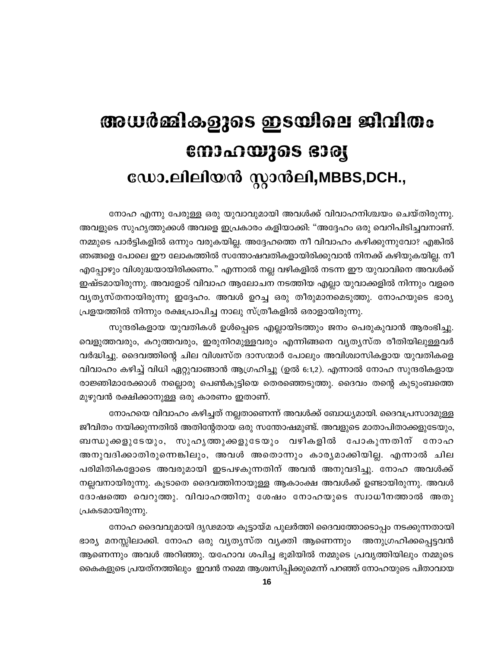# അധർമ്മികളുടെ ഇടയിലെ ജീവിതം നോഹയുടെ ഭാര്യ ഡോ.ലിലിയൻ സ്റ്റാൻലി,MBBS,DCH.,

നോഹ എന്നു പേരുള്ള ഒരു യുവാവുമായി അവൾക്ക് വിവാഹനിശ്ചയം ചെയ്തിരുന്നു. അവളുടെ സുഹൃത്തുക്കൾ അവളെ ഇപ്രകാരം കളിയാക്കി: "അദ്ദേഹം ഒരു വെറിപിടിച്ചവനാണ്. നമ്മുടെ പാർട്ടികളിൽ ഒന്നും വരുകയില്ല. അദ്ദേഹത്തെ നീ വിവാഹം കഴിക്കുന്നുവോ? എങ്കിൽ ഞങ്ങളെ പോലെ ഈ ലോകത്തിൽ സന്തോഷവതികളായിരിക്കുവാൻ നിനക്ക് കഴിയുകയില്ല. നീ എപ്പോഴും വിശുദ്ധയായിരിക്കണം." എന്നാൽ നല്ല വഴികളിൽ നടന്ന ഈ യുവാവിനെ അവൾക്ക് ഇഷ്ടമായിരുന്നു. അവളോട് വിവാഹ ആലോചന നടത്തിയ എല്ലാ യുവാക്കളിൽ നിന്നും വളരെ വൃത്യസ്തനായിരുന്നു ഇദ്ദേഹം. അവൾ ഉറച്ച ഒരു തീരുമാനമെടുത്തു. നോഹയുടെ ഭാര്യ പ്രളയത്തിൽ നിന്നും രക്ഷപ്രാപിച്ച നാലു സ്ത്രീകളിൽ ഒരാളായിരുന്നു.

സുന്ദരികളായ യുവതികൾ ഉൾപ്പെടെ എല്ലായിടത്തും ജനം പെരുകുവാൻ ആരംഭിച്ചു. വെളുത്തവരും, കറുത്തവരും, ഇരുനിറമുള്ളവരും എന്നിങ്ങനെ വൃതൃസ്ത രീതിയിലുള്ളവർ വർദ്ധിച്ചു. ദൈവത്തിന്റെ ചില വിശ്വസ്ത ദാസന്മാർ പോലും അവിശ്വാസികളായ യുവതികളെ വിവാഹം കഴിച്ച് വിധി ഏറ്റുവാങ്ങാൻ ആഗ്രഹിച്ചു (ഉൽ 6:1,2). എന്നാൽ നോഹ സുന്ദരികളായ രാജ്ഞിമാരേക്കാൾ നല്ലൊരു പെൺകുട്ടിയെ തെരഞ്ഞെടുത്തു. ദൈവം തന്റെ കുടുംബത്തെ മുഴുവൻ രക്ഷിക്കാനുള്ള ഒരു കാരണം ഇതാണ്.

നോഹയെ വിവാഹം കഴിച്ചത് നല്ലതാണെന്ന് അവൾക്ക് ബോധ്യമായി. ദൈവപ്രസാദമുള്ള ജീവിതം നയിക്കുന്നതിൽ അതിന്റേതായ ഒരു സന്തോഷമുണ്ട്. അവളുടെ മാതാപിതാക്കളുടേയും, ബന്ധുക്കളുടേയും, സുഹൃത്തുക്കളുടേയും വഴികളിൽ പോകുന്നതിന് നോഹ അനുവദിക്കാതിരുന്നെങ്കിലും, അവൾ അതൊന്നും കാര്യമാക്കിയില്ല. എന്നാൽ ചില പരിമിതികളോടെ അവരുമായി ഇടപഴകുന്നതിന് അവൻ അനുവദിച്ചു. നോഹ അവൾക്ക് നല്ലവനായിരുന്നു. കൂടാതെ ദൈവത്തിനായുള്ള ആകാംക്ഷ അവൾക്ക് ഉണ്ടായിരുന്നു. അവൾ ദോഷത്തെ വെറുത്തു. വിവാഹത്തിനു ശേഷം നോഹയുടെ സ്വാധീനത്താൽ അതു പ്രകടമായിരുന്നു.

നോഹ ദൈവവുമായി ദൃഢമായ കൂട്ടായ്മ പുലർത്തി ദൈവത്തോടൊപ്പം നടക്കുന്നതായി ഭാര്യ മനസ്സിലാക്കി. നോഹ ഒരു വ്യത്യസ്ത വ്യക്തി ആണെന്നും അനുഗ്രഹിക്കപ്പെട്ടവൻ ആണെന്നും അവൾ അറിഞ്ഞു. യഹോവ ശപിച്ച ഭൂമിയിൽ നമ്മുടെ പ്രവൃത്തിയിലും നമ്മുടെ കൈകളുടെ പ്രയത്നത്തിലും ഇവൻ നമ്മെ ആശ്വസിപ്പിക്കുമെന്ന് പറഞ്ഞ് നോഹയുടെ പിതാവായ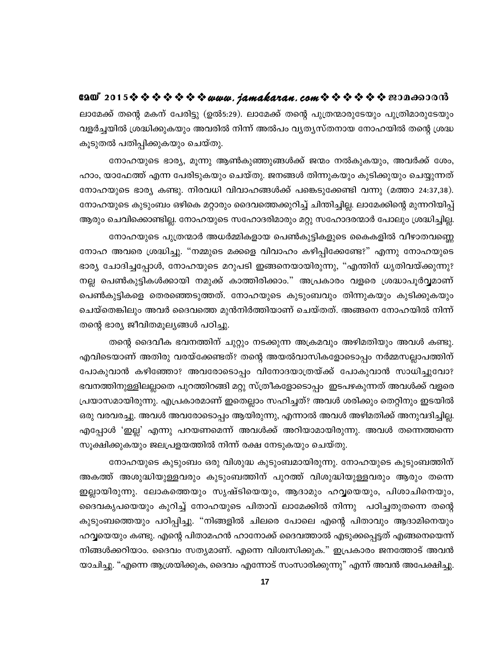ലാമേക്ക് തന്റെ മകന് പേരിട്ടു (ഉൽ5:29). ലാമേക്ക് തന്റെ പുത്രന്മാരുടേയും പുത്രിമാരുടേയും വളർച്ചയിൽ ശ്രദ്ധിക്കുകയും അവരിൽ നിന്ന് അൽപം വ്യത്യസ്തനായ നോഹയിൽ തന്റെ ശ്രദ്ധ കൂടുതൽ പതിപ്പിക്കുകയും ചെയ്തു.

നോഹയുടെ ഭാര്യ, മൂന്നു ആൺകുഞ്ഞുങ്ങൾക്ക് ജന്മം നൽകുകയും, അവർക്ക് ശേം, ഹാം, യാഫേത്ത് എന്ന പേരിടുകയും ചെയ്തു. ജനങ്ങൾ തിന്നുകയും കുടിക്കുയും ചെയ്യുന്നത് നോഹയുടെ ഭാര്യ കണ്ടു. നിരവധി വിവാഹങ്ങൾക്ക് പങ്കെടുക്കേണ്ടി വന്നു (മത്താ 24:37,38). നോഹയുടെ കുടുംബം ഒഴികെ മറ്റാരും ദൈവത്തെക്കുറിച്ച് ചിന്തിച്ചില്ല. ലാമേക്കിന്റെ മുന്നറിയിപ്പ് ആരും ചെവിക്കൊണ്ടില്ല. നോഹയുടെ സഹോദരിമാരും മറ്റു സഹോദരന്മാർ പോലും ശ്രദ്ധിച്ചില്ല.

നോഹയുടെ പുത്രന്മാർ അധർമ്മികളായ പെൺകുട്ടികളുടെ കൈകളിൽ വീഴാതവണ്ണെ നോഹ അവരെ ശ്രദ്ധിച്ചു. "നമ്മുടെ മക്കളെ വിവാഹം കഴിപ്പിക്കേണ്ടേ?" എന്നു നോഹയുടെ ഭാര്യ ചോദിച്ചപ്പോൾ, നോഹയുടെ മറുപടി ഇങ്ങനെയായിരുന്നു, "എന്തിന് ധൃതിവയ്ക്കുന്നു? നല്ല പെൺകുട്ടികൾക്കായി നമുക്ക് കാത്തിരിക്കാം." അപ്രകാരം വളരെ ശ്രദ്ധാപൂർവ്വമാണ് പെൺകുട്ടികളെ തെരഞ്ഞെടുത്തത്. നോഹയുടെ കുടുംബവും തിന്നുകയും കുടിക്കുകയും ചെയ്തെങ്കിലും അവർ ദൈവത്തെ മുൻനിർത്തിയാണ് ചെയ്തത്. അങ്ങനെ നോഹയിൽ നിന്ന് തന്റെ ഭാര്യ ജീവിതമൂല്യങ്ങൾ പഠിച്ചു.

തന്റെ ദൈവീക ഭവനത്തിന് ചുറ്റും നടക്കുന്ന അക്രമവും അഴിമതിയും അവൾ കണ്ടു. എവിടെയാണ് അതിരു വരയ്ക്കേണ്ടത്? തന്റെ അയൽവാസികളോടൊപ്പം നർമ്മസല്ലാപത്തിന് പോകുവാൻ കഴിഞ്ഞോ? അവരോടൊപ്പം വിനോദയാത്രയ്ക്ക് പോകുവാൻ സാധിച്ചുവോ? ഭവനത്തിനുള്ളിലല്ലാതെ പുറത്തിറങ്ങി മറ്റു സ്ത്രീകളോടൊപ്പം ഇടപഴകുന്നത് അവൾക്ക് വളരെ പ്രയാസമായിരുന്നു. എപ്രകാരമാണ് ഇതെല്ലാം സഹിച്ചത്? അവൾ ശരിക്കും തെറ്റിനും ഇടയിൽ ഒരു വരവരച്ചു. അവൾ അവരോടൊപ്പം ആയിരുന്നു, എന്നാൽ അവൾ അഴിമതിക്ക് അനുവദിച്ചില്ല. എപ്പോൾ 'ഇല്ല' എന്നു പറയണമെന്ന് അവൾക്ക് അറിയാമായിരുന്നു. അവൾ തന്നെത്തന്നെ സൂക്ഷിക്കുകയും ജലപ്രളയത്തിൽ നിന്ന് രക്ഷ നേടുകയും ചെയ്തു.

നോഹയുടെ കുടുംബം ഒരു വിശുദ്ധ കുടുംബമായിരുന്നു. നോഹയുടെ കുടുംബത്തിന് അകത്ത് അശുദ്ധിയുള്ളവരും കുടുംബത്തിന് പുറത്ത് വിശുദ്ധിയുള്ളവരും ആരും തന്നെ ഇല്ലായിരുന്നു. ലോകത്തെയും സൃഷ്ടിയെയും, ആദാമും ഹവ്വയെയും, പിശാചിനെയും, ദൈവകൃപയെയും കുറിച്ച് നോഹയുടെ പിതാവ് ലാമേക്കിൽ നിന്നു പഠിച്ചതുതന്നെ തന്റെ കുടുംബത്തെയും പഠിപ്പിച്ചു. "നിങ്ങളിൽ ചിലരെ പോലെ എന്റെ പിതാവും ആദാമിനെയും ഹവ്വയെയും കണ്ടു. എന്റെ പിതാമഹൻ ഹാനോക്ക് ദൈവത്താൽ എടുക്കപ്പെട്ടത് എങ്ങനെയെന്ന് നിങ്ങൾക്കറിയാം. ദൈവം സത്യമാണ്. എന്നെ വിശ്വസിക്കുക." ഇപ്രകാരം ജനത്തോട് അവൻ യാചിച്ചു. "എന്നെ ആശ്രയിക്കുക, ദൈവം എന്നോട് സംസാരിക്കുന്നു" എന്ന് അവൻ അപേക്ഷിച്ചു.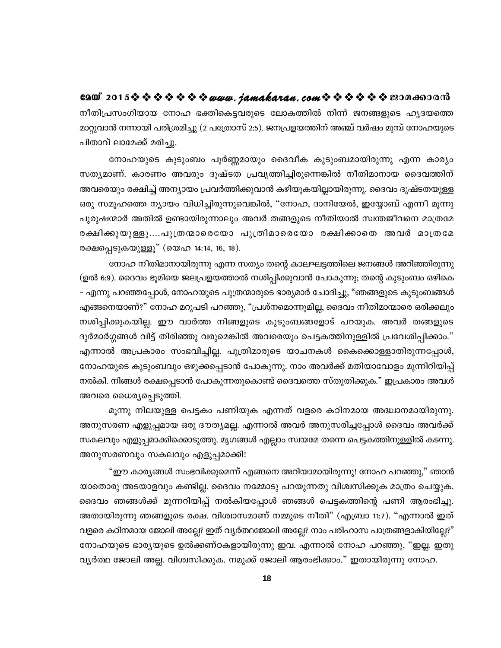GAO 2015※※※※※※※*www.jamakaran.com*※※※※※※200c60000 നീതിപ്രസംഗിയായ നോഹ ഭക്തികെട്ടവരുടെ ലോകത്തിൽ നിന്ന് ജനങ്ങളുടെ ഹൃദയത്തെ മാറ്റുവാൻ നന്നായി പരിശ്രമിച്ചു (2 പത്രോസ് 2:5). ജനപ്രളയത്തിന് അഞ്ച് വർഷം മുമ്പ് നോഹയുടെ പിതാവ് ലാമേക്ക് മരിച്ചു.

നോഹയുടെ കുടുംബം പൂർണ്ണമായും ദൈവീക കുടുംബമായിരുന്നു എന്ന കാര്യം സത്യമാണ്. കാരണം അവരും ദുഷ്ടത പ്രവൃത്തിച്ചിരുന്നെങ്കിൽ നീതിമാനായ ദൈവത്തിന് അവരെയും രക്ഷിച്ച് അന്യായം പ്രവർത്തിക്കുവാൻ കഴിയുകയില്ലായിരുന്നു. ദൈവം ദുഷ്ടതയുള്ള ഒരു സമൂഹത്തെ ന്യായം വിധിച്ചിരുന്നുവെങ്കിൽ, "നോഹ, ദാനിയേൽ, ഇയ്യോബ് എന്നീ മൂന്നു പുരുഷന്മാർ അതിൽ ഉണ്ടായിരുന്നാലും അവർ തങ്ങളുടെ നീതിയാൽ സ്വന്തജീവനെ മാത്രമേ രക്ഷിക്കുയുള്ളൂ….പുത്രന്മാരെയോ പുത്രിമാരെയോ രക്ഷിക്കാതെ അവർ മാത്രമേ രക്ഷപ്പെടുകയുള്ളൂ" (യെഹ 14:14, 16, 18).

നോഹ നീതിമാനായിരുന്നു എന്ന സത്യം തന്റെ കാലഘട്ടത്തിലെ ജനങ്ങൾ അറിഞ്ഞിരുന്നു (ഉൽ 6:9). ദൈവം ഭൂമിയെ ജലപ്രളയത്താൽ നശിപ്പിക്കുവാൻ പോകുന്നു; തന്റെ കുടുംബം ഒഴികെ – എന്നു പറഞ്ഞപ്പോൾ, നോഹയുടെ പുത്രന്മാരുടെ ഭാര്യമാർ ചോദിച്ചു, "ഞങ്ങളുടെ കുടുംബങ്ങൾ എങ്ങനെയാണ്?" നോഹ മറുപടി പറഞ്ഞു, "പ്രശ്നമൊന്നുമില്ല, ദൈവം നീതിമാന്മാരെ ഒരിക്കലും നശിപ്പിക്കുകയില്ല. ഈ വാർത്ത നിങ്ങളുടെ കുടുംബങ്ങളോട് പറയുക. അവർ തങ്ങളുടെ ദുർമാർഗ്ഗങ്ങൾ വിട്ട് തിരിഞ്ഞു വരുമെങ്കിൽ അവരെയും പെട്ടകത്തിനുള്ളിൽ പ്രവേശിപ്പിക്കാം." എന്നാൽ അപ്രകാരം സംഭവിച്ചില്ല. പുത്രിമാരുടെ യാചനകൾ കൈക്കൊള്ളാതിരുന്നപ്പോൾ, നോഹയുടെ കുടുംബവും ഒഴുക്കപ്പെടാൻ പോകുന്നു. നാം അവർക്ക് മതിയാവോളം മുന്നിറിയിപ്പ് നൽകി. നിങ്ങൾ രക്ഷപ്പെടാൻ പോകുന്നതുകൊണ്ട് ദൈവത്തെ സ്തുതിക്കുക." ഇപ്രകാരം അവൾ അവരെ ധൈര്യപ്പെടുത്തി.

മൂന്നു നിലയുള്ള പെട്ടകം പണിയുക എന്നത് വളരെ കഠിനമായ അദ്ധ്വാനമായിരുന്നു. അനുസരണ എളുപ്പമായ ഒരു ദൗതൃമല്ല. എന്നാൽ അവർ അനുസരിച്ചപ്പോൾ ദൈവം അവർക്ക് സകലവും എളുപ്പമാക്കിക്കൊടുത്തു. മൃഗങ്ങൾ എല്ലാം സ്വയമേ തന്നെ പെട്ടകത്തിനുള്ളിൽ കടന്നു. അനുസരണവും സകലവും എളുപ്പമാക്കി!

"ഈ കാര്യങ്ങൾ സംഭവിക്കുമെന്ന് എങ്ങനെ അറിയാമായിരുന്നു! നോഹ പറഞ്ഞു," ഞാൻ യാതൊരു അടയാളവും കണ്ടില്ല. ദൈവം നമ്മോടു പറയുന്നതു വിശ്വസിക്കുക മാത്രം ചെയ്യുക. ദൈവം ഞങ്ങൾക്ക് മുന്നറിയിപ്പ് നൽകിയപ്പോൾ ഞങ്ങൾ പെട്ടകത്തിന്റെ പണി ആരംഭിച്ചു. അതായിരുന്നു ഞങ്ങളുടെ രക്ഷ. വിശ്വാസമാണ് നമ്മുടെ നീതി" (എബ്രാ 11:7). "എന്നാൽ ഇത് വളരെ കഠിനമായ ജോലി അല്ലേ? ഇത് വ്യർത്ഥജോലി അല്ലേ? നാം പരിഹാസ പാത്രങ്ങളാകിയില്ലേ?" നോഹയുടെ ഭാര്യയുടെ ഉൽക്കണ്ഠകളായിരുന്നു ഇവ. എന്നാൽ നോഹ പറഞ്ഞു, "ഇല്ല. ഇതു വ്യർത്ഥ ജോലി അല്ല. വിശ്വസിക്കുക. നമുക്ക് ജോലി ആരംഭിക്കാം." ഇതായിരുന്നു നോഹ.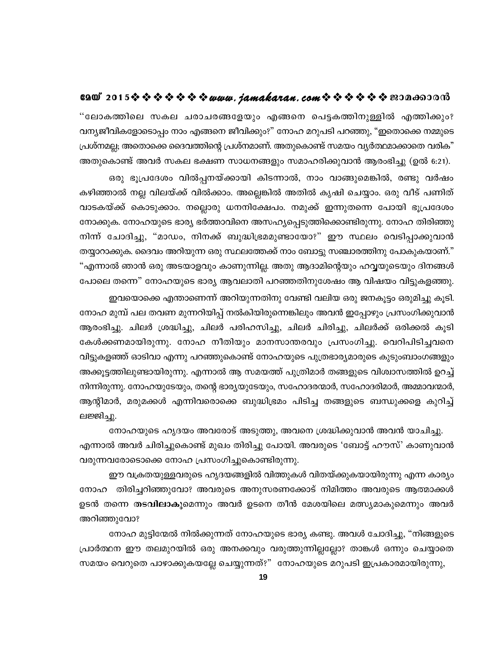"ലോകത്തിലെ സകല ചരാചരങ്ങളേയും എങ്ങനെ പെട്ടകത്തിനുള്ളിൽ എത്തിക്കും? വന്യജീവികളോടൊപ്പം നാം എങ്ങനെ ജീവിക്കും?" നോഹ മറുപടി പറഞ്ഞു, "ഇതൊക്കെ നമ്മുടെ പ്രശ്നമല്ല; അതൊക്കെ ദൈവത്തിന്റെ പ്രശ്നമാണ്. അതുകൊണ്ട് സമയം വ്യർത്ഥമാക്കാതെ വരിക" അതുകൊണ്ട് അവർ സകല ഭക്ഷണ സാധനങ്ങളും സമാഹരിക്കുവാൻ ആരംഭിച്ചു (ഉൽ 6:21).

ഒരു ഭൂപ്രദേശം വിൽപ്പനയ്ക്കായി കിടന്നാൽ, നാം വാങ്ങുമെങ്കിൽ, രണ്ടു വർഷം കഴിഞ്ഞാൽ നല്ല വിലയ്ക്ക് വിൽക്കാം. അല്ലെങ്കിൽ അതിൽ കൃഷി ചെയ്യാം. ഒരു വീട് പണിത് വാടകയ്ക്ക് കൊടുക്കാം. നല്ലൊരു ധനനിക്ഷേപം. നമുക്ക് ഇന്നുതന്നെ പോയി ഭൂപ്രദേശം നോക്കുക. നോഹയുടെ ഭാര്യ ഭർത്താവിനെ അസഹ്യപ്പെടുത്തിക്കൊണ്ടിരുന്നു. നോഹ തിരിഞ്ഞു നിന്ന് ചോദിച്ചു, "മാഡം, നിനക്ക് ബുദ്ധിഭ്രമമുണ്ടായോ?" ഈ സ്ഥലം വെടിപ്പാക്കുവാൻ തയ്യാറാക്കുക. ദൈവം അറിയുന്ന ഒരു സ്ഥലത്തേക്ക് നാം ബോട്ടു സഞ്ചാരത്തിനു പോകുകയാണ്." "എന്നാൽ ഞാൻ ഒരു അടയാളവും കാണുന്നില്ല. അതു ആദാമിന്റെയും ഹവ്വയുടെയും ദിനങ്ങൾ പോലെ തന്നെ" നോഹയുടെ ഭാര്യ ആവലാതി പറഞ്ഞതിനുശേഷം ആ വിഷയം വിട്ടുകളഞ്ഞു.

ഇവയൊക്കെ എന്താണെന്ന് അറിയുന്നതിനു വേണ്ടി വലിയ ഒരു ജനകൂട്ടം ഒരുമിച്ചു കൂടി. നോഹ മുമ്പ് പല തവണ മുന്നറിയിപ്പ് നൽകിയിരുന്നെങ്കിലും അവൻ ഇപ്പോഴും പ്രസംഗിക്കുവാൻ ആരംഭിച്ചു. ചിലർ ശ്രദ്ധിച്ചു, ചിലർ പരിഹസിച്ചു, ചിലർ ചിരിച്ചു, ചിലർക്ക് ഒരിക്കൽ കൂടി കേൾക്കണമായിരുന്നു. നോഹ നീതിയും മാനസാന്തരവും പ്രസംഗിച്ചു. വെറിപിടിച്ചവനെ വിട്ടുകളഞ്ഞ് ഓടിവാ എന്നു പറഞ്ഞുകൊണ്ട് നോഹയുടെ പുത്രഭാര്യമാരുടെ കുടുംബാംഗങ്ങളും അക്കൂട്ടത്തിലുണ്ടായിരുന്നു. എന്നാൽ ആ സമയത്ത് പുത്രിമാർ തങ്ങളുടെ വിശ്വാസത്തിൽ ഉറച്ച് നിന്നിരുന്നു. നോഹയുടേയും, തന്റെ ഭാര്യയുടേയും, സഹോദരന്മാർ, സഹോദരിമാർ, അമ്മാവന്മാർ, ആന്റിമാർ, മരുമക്കൾ എന്നിവരൊക്കെ ബുദ്ധിഭ്രമം പിടിച്ച തങ്ങളുടെ ബന്ധുക്കളെ കുറിച്ച് ലജ്ജിച്ചു.

നോഹയുടെ ഹൃദയം അവരോട് അടുത്തു, അവനെ ശ്രദ്ധിക്കുവാൻ അവൻ യാചിച്ചു. എന്നാൽ അവർ ചിരിച്ചുകൊണ്ട് മുഖം തിരിച്ചു പോയി. അവരുടെ 'ബോട്ട് ഹൗസ്' കാണുവാൻ വരുന്നവരോടൊക്കെ നോഹ പ്രസംഗിച്ചുകൊണ്ടിരുന്നു.

ഈ വക്രതയുള്ളവരുടെ ഹൃദയങ്ങളിൽ വിത്തുകൾ വിതയ്ക്കുകയായിരുന്നു എന്ന കാര്യം നോഹ തിരിച്ചറിഞ്ഞുവോ? അവരുടെ അനുസരണക്കോട് നിമിത്തം അവരുടെ ആത്മാക്കൾ ഉടൻ തന്നെ തടവിലാകുമെന്നും അവർ ഉടനെ തീൻ മേശയിലെ മത്സ്യമാകുമെന്നും അവർ അറിഞ്ഞുവോ?

നോഹ മുട്ടിന്മേൽ നിൽക്കുന്നത് നോഹയുടെ ഭാര്യ കണ്ടു. അവൾ ചോദിച്ചു, "നിങ്ങളുടെ പ്രാർത്ഥന ഈ തലമുറയിൽ ഒരു അനക്കവും വരുത്തുന്നില്ലല്ലോ? താങ്കൾ ഒന്നും ചെയ്യാതെ സമയം വെറുതെ പാഴാക്കുകയല്ലേ ചെയ്യുന്നത്?" നോഹയുടെ മറുപടി ഇപ്രകാരമായിരുന്നു,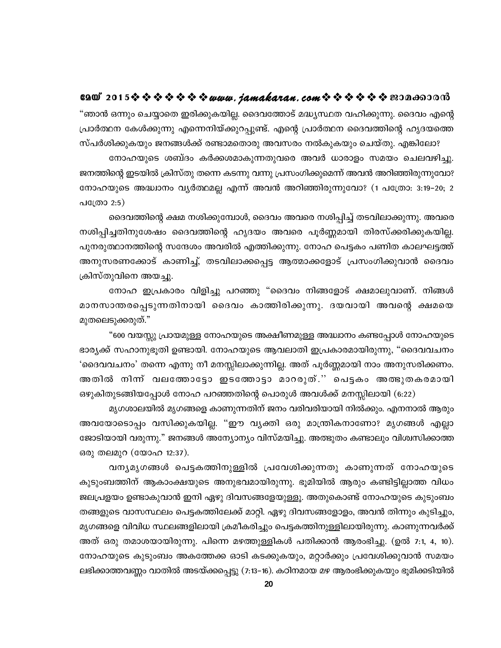"ഞാൻ ഒന്നും ചെയ്യാതെ ഇരിക്കുകയില്ല. ദൈവത്തോട് മദ്ധ്യസ്ഥത വഹിക്കുന്നു. ദൈവം എന്റെ പ്രാർത്ഥന കേൾക്കുന്നു എന്നെനിയ്ക്കുറപ്പുണ്ട്. എന്റെ പ്രാർത്ഥന ദൈവത്തിന്റെ ഹൃദയത്തെ സ്പർശിക്കുകയും ജനങ്ങൾക്ക് രണ്ടാമതൊരു അവസരം നൽകുകയും ചെയ്തു. എങ്കിലോ?

നോഹയുടെ ശബ്ദം കർക്കശമാകുന്നതുവരെ അവർ ധാരാളം സമയം ചെലവഴിച്ചു. ജനത്തിന്റെ ഇടയിൽ ക്രിസ്തു തന്നെ കടന്നു വന്നു പ്രസംഗിക്കുമെന്ന് അവൻ അറിഞ്ഞിരുന്നുവോ? നോഹയുടെ അദ്ധ്വാനം വ്യർത്ഥമല്ല എന്ന് അവൻ അറിഞ്ഞിരുന്നുവോ? (1 പത്രോ: 3:19-20; 2 പത്രോ 2:5)

ദൈവത്തിന്റെ ക്ഷമ നശിക്കുമ്പോൾ, ദൈവം അവരെ നശിപ്പിച്ച് തടവിലാക്കുന്നു. അവരെ നശിപ്പിച്ചതിനുശേഷം ദൈവത്തിന്റെ ഹൃദയം അവരെ പൂർണ്ണമായി തിരസ്ക്കരിക്കുകയില്ല. പുനരുത്ഥാനത്തിന്റെ സന്ദേശം അവരിൽ എത്തിക്കുന്നു. നോഹ പെട്ടകം പണിത കാലഘട്ടത്ത് അനുസരണക്കോട് കാണിച്ച്, തടവിലാക്കപ്പെട്ട ആത്മാക്കളോട് പ്രസംഗിക്കുവാൻ ദൈവം ക്രിസ്തുവിനെ അയച്ചു.

നോഹ ഇപ്രകാരം വിളിച്ചു പറഞ്ഞു "ദൈവം നിങ്ങളോട് ക്ഷമാലുവാണ്. നിങ്ങൾ മാനസാന്തരപ്പെടുന്നതിനായി ദൈവം കാത്തിരിക്കുന്നു. ദയവായി അവന്റെ ക്ഷമയെ മുതലെടുക്കരുത്."

"600 വയസ്സു പ്രായമുള്ള നോഹയുടെ അക്ഷീണമുള്ള അദ്ധ്വാനം കണ്ടപ്പോൾ നോഹയുടെ ഭാര്യക്ക് സഹാനുഭൂതി ഉണ്ടായി. നോഹയുടെ ആവലാതി ഇപ്രകാരമായിരുന്നു, "ദൈവവചനം 'ദൈവവചനം' തന്നെ എന്നു നീ മനസ്സിലാക്കുന്നില്ല. അത് പൂർണ്ണമായി നാം അനുസരിക്കണം. അതിൽ നിന്ന് വലത്തോട്ടോ ഇടത്തോട്ടാ മാറരുത്.'' പെട്ടകം അത്ഭുതകരമായി ഒഴുകിതുടങ്ങിയപ്പോൾ നോഹ പറഞ്ഞതിന്റെ പൊരുൾ അവൾക്ക് മനസ്സിലായി (6:22)

മൃഗശാലയിൽ മൃഗങ്ങളെ കാണുന്നതിന് ജനം വരിവരിയായി നിൽക്കും. എനനാൽ ആരും അവയോടൊപ്പം വസിക്കുകയില്ല. "ഈ വ്യക്തി ഒരു മാന്ത്രികനാണോ? മൃഗങ്ങൾ എല്ലാ ജോടിയായി വരുന്നു." ജനങ്ങൾ അന്യോന്യം വിസ്മയിച്ചു. അത്ഭുതം കണ്ടാലും വിശ്വസിക്കാത്ത ഒരു തലമുറ (യോഹ 12:37).

വനൃമൃഗങ്ങൾ പെട്ടകത്തിനുള്ളിൽ പ്രവേശിക്കുന്നതു കാണുന്നത് നോഹയുടെ കുടുംബത്തിന് ആകാംക്ഷയുടെ അനുഭവമായിരുന്നു. ഭൂമിയിൽ ആരും കണ്ടിട്ടില്ലാത്ത വിധം ജലപ്രളയം ഉണ്ടാകുവാൻ ഇനി ഏഴു ദിവസങ്ങളേയുള്ളൂ. അതുകൊണ്ട് നോഹയുടെ കുടുംബം തങ്ങളുടെ വാസസ്ഥലം പെട്ടകത്തിലേക്ക് മാറ്റി. ഏഴു ദിവസങ്ങളോളം, അവൻ തിന്നും കുടിച്ചും, മൃഗങ്ങളെ വിവിധ സ്ഥലങ്ങളിലായി ക്രമീകരിച്ചും പെട്ടകത്തിനുള്ളിലായിരുന്നു. കാണുന്നവർക്ക് അത് ഒരു തമാശയായിരുന്നു. പിന്നെ മഴത്തുള്ളികൾ പതിക്കാൻ ആരംഭിച്ചു. (ഉൽ 7:1, 4, 10). നോഹയുടെ കുടുംബം അകത്തേക്ക ഓടി കടക്കുകയും, മറ്റാർക്കും പ്രവേശിക്കുവാൻ സമയം ലഭിക്കാത്തവണ്ണം വാതിൽ അടയ്ക്കപ്പെട്ടു (7:13–16). കഠിനമായ മഴ ആരംഭിക്കുകയും ഭൂമിക്കടിയിൽ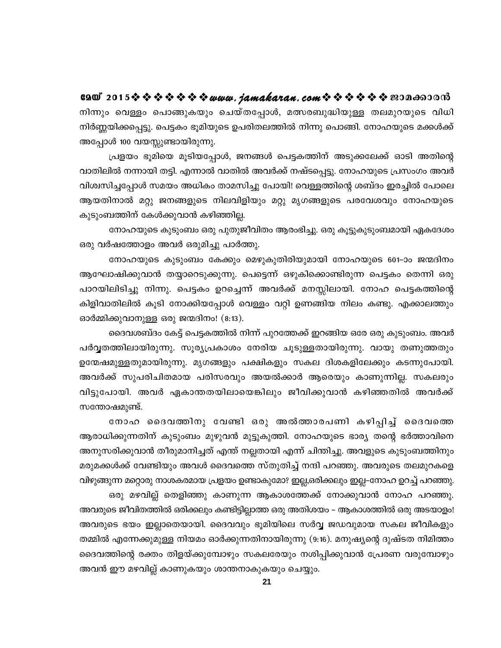GAO 2015※※※※※※※*www.jamakaran.com*※※※※※※200c60000 നിന്നും വെള്ളം പൊങ്ങുകയും ചെയ്തപ്പോൾ, മത്സരബുദ്ധിയുള്ള തലമുറയുടെ വിധി നിർണ്ണയിക്കപ്പെട്ടു. പെട്ടകം ഭൂമിയുടെ ഉപരിതലത്തിൽ നിന്നു പൊങ്ങി. നോഹയുടെ മക്കൾക്ക് അപ്പോൾ 100 വയസ്സുണ്ടായിരുന്നു.

പ്രളയം ഭൂമിയെ മൂടിയപ്പോൾ, ജനങ്ങൾ പെട്ടകത്തിന് അടുക്കലേക്ക് ഓടി അതിന്റെ വാതിലിൽ നന്നായി തട്ടി. എന്നാൽ വാതിൽ അവർക്ക് നഷ്ടപ്പെട്ടു. നോഹയുടെ പ്രസംഗം അവർ വിശ്വസിച്ചപ്പോൾ സമയം അധികം താമസിച്ചു പോയി! വെള്ളത്തിന്റെ ശബ്ദം ഇരച്ചിൽ പോലെ ആയതിനാൽ മറ്റു ജനങ്ങളുടെ നിലവിളിയും മറ്റു മൃഗങ്ങളുടെ പരവേശവും നോഹയുടെ കുടുംബത്തിന് കേൾക്കുവാൻ കഴിഞ്ഞില്ല.

നോഹയുടെ കുടുംബം ഒരു പുതുജീവിതം ആരംഭിച്ചു. ഒരു കൂട്ടുകുടുംബമായി ഏകദേശം ഒരു വർഷത്തോളം അവർ ഒരുമിച്ചു പാർത്തു.

നോഹയുടെ കുടുംബം കേക്കും മെഴുകുതിരിയുമായി നോഹയുടെ 601-ാം ജന്മദിനം ആഘോഷിക്കുവാൻ തയ്യാറെടുക്കുന്നു. പെട്ടെന്ന് ഒഴുകിക്കൊണ്ടിരുന്ന പെട്ടകം തെന്നി ഒരു പാറയിലിടിച്ചു നിന്നു. പെട്ടകം ഉറച്ചെന്ന് അവർക്ക് മനസ്സിലായി. നോഹ പെട്ടകത്തിന്റെ കിളിവാതിലിൽ കൂടി നോക്കിയപ്പോൾ വെള്ളം വറ്റി ഉണങ്ങിയ നിലം കണ്ടു. എക്കാലത്തും ഓർമ്മിക്കുവാനുള്ള ഒരു ജന്മദിനം! (8:13).

ദൈവശബ്ദം കേട്ട് പെട്ടകത്തിൽ നിന്ന് പുറത്തേക്ക് ഇറങ്ങിയ ഒരേ ഒരു കുടുംബം. അവർ പർവ്വതത്തിലായിരുന്നു. സൂര്യപ്രകാശം നേരിയ ചൂടുള്ളതായിരുന്നു. വായു തണുത്തതും ഉന്മേഷമുള്ളതുമായിരുന്നു. മൃഗങ്ങളും പക്ഷികളും സകല ദിശകളിലേക്കും കടന്നുപോയി. അവർക്ക് സുപരിചിതമായ പരിസരവും അയൽക്കാർ ആരെയും കാണുന്നില്ല. സകലരും വിട്ടുപോയി. അവർ ഏകാന്തതയിലായെങ്കിലും ജീവിക്കുവാൻ കഴിഞ്ഞതിൽ അവർക്ക് സന്തോഷമുണ്ട്.

നോഹ ദൈവത്തിനു വേണ്ടി ഒരു അൽത്താരപണി കഴിപ്പിച്ച് ദൈവത്തെ ആരാധിക്കുന്നതിന് കുടുംബം മുഴുവൻ മുട്ടുകുത്തി. നോഹയുടെ ഭാര്യ തന്റെ ഭർത്താവിനെ അനുസരിക്കുവാൻ തീരുമാനിച്ചത് എന്ത് നല്ലതായി എന്ന് ചിന്തിച്ചു. അവളുടെ കുടുംബത്തിനും മരുമക്കൾക്ക് വേണ്ടിയും അവൾ ദൈവത്തെ സ്തുതിച്ച് നന്ദി പറഞ്ഞു. അവരുടെ തലമുറകളെ വിഴുങ്ങുന്ന മറ്റൊരു നാശകരമായ പ്രളയം ഉണ്ടാകുമോ? ഇല്ല,ഒരിക്കലും ഇല്ല–നോഹ ഉറച്ച് പറഞ്ഞു.

ഒരു മഴവില്ല് തെളിഞ്ഞു കാണുന്ന ആകാശത്തേക്ക് നോക്കുവാൻ നോഹ പറഞ്ഞു. അവരുടെ ജീവിതത്തിൽ ഒരിക്കലും കണ്ടിട്ടില്ലാത്ത ഒരു അതിശയം – ആകാശത്തിൽ ഒരു അടയാളം! അവരുടെ ഭയം ഇല്ലാതെയായി. ദൈവവും ഭൂമിയിലെ സർവ്വ ജഡവുമായ സകല ജീവികളും തമ്മിൽ എന്നേക്കുമുള്ള നിയമം ഓർക്കുന്നതിനായിരുന്നു (9:16). മനുഷ്യന്റെ ദുഷ്ടത നിമിത്തം ദൈവത്തിന്റെ രക്തം തിളയ്ക്കുമ്പോഴും സകലരേയും നശിപ്പിക്കുവാൻ പ്രേരണ വരുമ്പോഴും അവൻ ഈ മഴവില്ല് കാണുകയും ശാന്തനാകുകയും ചെയ്യും.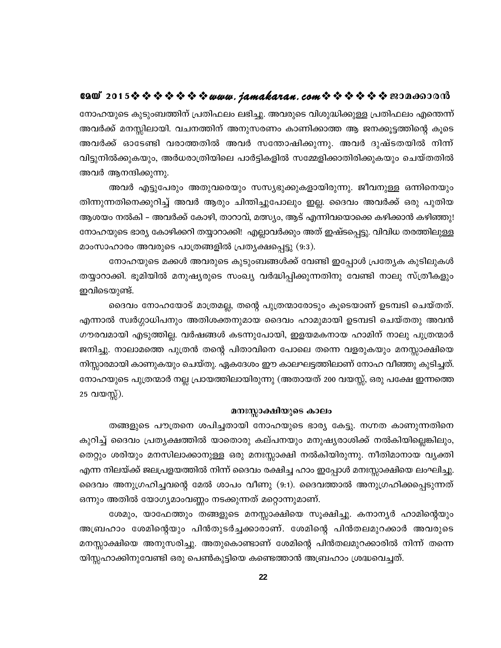## e200°2015 \$ \$ \$ \$ \$ \$ \$ *\$ www.jamakaran.com* \$ \$ \$ \$ \$ \$ <del>\$</del> 2006 BOO 60

നോഹയുടെ കുടുംബത്തിന് പ്രതിഫലം ലഭിച്ചു. അവരുടെ വിശുദ്ധിക്കുള്ള പ്രതിഫലം എന്തെന്ന് അവർക്ക് മനസ്സിലായി. വചനത്തിന് അനുസരണം കാണിക്കാത്ത ആ ജനക്കൂട്ടത്തിന്റെ കൂടെ അവർക്ക് ഓടേണ്ടി വരാത്തതിൽ അവർ സന്തോഷിക്കുന്നു. അവർ ദുഷ്ടതയിൽ നിന്ന് വിട്ടുനിൽക്കുകയും, അർധരാത്രിയിലെ പാർട്ടികളിൽ സമ്മേളിക്കാതിരിക്കുകയും ചെയ്തതിൽ അവർ ആനന്ദിക്കുന്നു.

അവർ എട്ടുപേരും അതുവരെയും സസ്യഭുക്കുകളായിരുന്നു. ജീവനുള്ള ഒന്നിനെയും തിന്നുന്നതിനെക്കുറിച്ച് അവർ ആരും ചിന്തിച്ചുപോലും ഇല്ല. ദൈവം അവർക്ക് ഒരു പുതിയ ആശയം നൽകി – അവർക്ക് കോഴി, താറാവ്, മത്സ്യം, ആട് എന്നിവയൊക്കെ കഴിക്കാൻ കഴിഞ്ഞു! നോഹയുടെ ഭാര്യ കോഴിക്കറി തയ്യാറാക്കി! എല്ലാവർക്കും അത് ഇഷ്ടപ്പെട്ടു. വിവിധ തരത്തിലുള്ള മാംസാഹാരം അവരുടെ പാത്രങ്ങളിൽ പ്രത്യക്ഷപ്പെട്ടു (9:3).

നോഹയുടെ മക്കൾ അവരുടെ കുടുംബങ്ങൾക്ക് വേണ്ടി ഇപ്പോൾ പ്രത്യേക കുടിലുകൾ തയ്യാറാക്കി. ഭൂമിയിൽ മനുഷ്യരുടെ സംഖ്യ വർദ്ധിപ്പിക്കുന്നതിനു വേണ്ടി നാലു സ്ത്രീകളും ഇവിടെയുണ്ട്.

ദൈവം നോഹയോട് മാത്രമല്ല, തന്റെ പുത്രന്മാരോടും കൂടെയാണ് ഉടമ്പടി ചെയ്തത്. എന്നാൽ സ്വർഗ്ഗാധിപനും അതിശക്തനുമായ ദൈവം ഹാമുമായി ഉടമ്പടി ചെയ്തതു അവൻ ഗൗരവമായി എടുത്തില്ല. വർഷങ്ങൾ കടന്നുപോയി, ഇളയമകനായ ഹാമിന് നാലു പുത്രന്മാർ ജനിച്ചു. നാലാമത്തെ പുത്രൻ തന്റെ പിതാവിനെ പോലെ തന്നെ വളരുകയും മനസ്സാക്ഷിയെ നിസ്സാരമായി കാണുകയും ചെയ്തു. ഏകദേശം ഈ കാലഘട്ടത്തിലാണ് നോഹ വീഞ്ഞു കുടിച്ചത്. നോഹയുടെ പുത്രന്മാർ നല്ല പ്രായത്തിലായിരുന്നു (അതായത് 200 വയസ്സ്, ഒരു പക്ഷേ ഇന്നത്തെ 25 വയസ്സ്).

#### മനഃസ്സാക്ഷിയുടെ കാലം

തങ്ങളുടെ പൗത്രനെ ശപിച്ചതായി നോഹയുടെ ഭാര്യ കേട്ടു. നഗ്നത കാണുന്നതിനെ കുറിച്ച് ദൈവം പ്രതൃക്ഷത്തിൽ യാതൊരു കല്പനയും മനുഷ്യരാശിക്ക് നൽകിയില്ലെങ്കിലും, തെറ്റും ശരിയും മനസിലാക്കാനുള്ള ഒരു മനഃസ്സാക്ഷി നൽകിയിരുന്നു. നീതിമാനായ വ്യക്തി എന്ന നിലയ്ക്ക് ജലപ്രളയത്തിൽ നിന്ന് ദൈവം രക്ഷിച്ച ഹാം ഇപ്പോൾ മനഃസ്സാക്ഷിയെ ലംഘിച്ചു. ദൈവം അനുഗ്രഹിച്ചവന്റെ മേൽ ശാപം വീണു (9:1). ദൈവത്താൽ അനുഗ്രഹിക്കപ്പെടുന്നത് ഒന്നും അതിൽ യോഗ്യമാംവണ്ണം നടക്കുന്നത് മറ്റൊന്നുമാണ്.

ശേമും, യാഫേത്തും തങ്ങളുടെ മനസ്സാക്ഷിയെ സൂക്ഷിച്ചു. കനാനൃർ ഹാമിന്റെയും അബ്രഹാം ശേമിന്റെയും പിൻതുടർച്ചക്കാരാണ്. ശേമിന്റെ പിൻതലമുറക്കാർ അവരുടെ മനസ്സാക്ഷിയെ അനുസരിച്ചു. അതുകൊണ്ടാണ് ശേമിന്റെ പിൻതലമുറക്കാരിൽ നിന്ന് തന്നെ യിസ്സഹാക്കിനുവേണ്ടി ഒരു പെൺകുട്ടിയെ കണ്ടെത്താൻ അബ്രഹാം ശ്രദ്ധവെച്ചത്.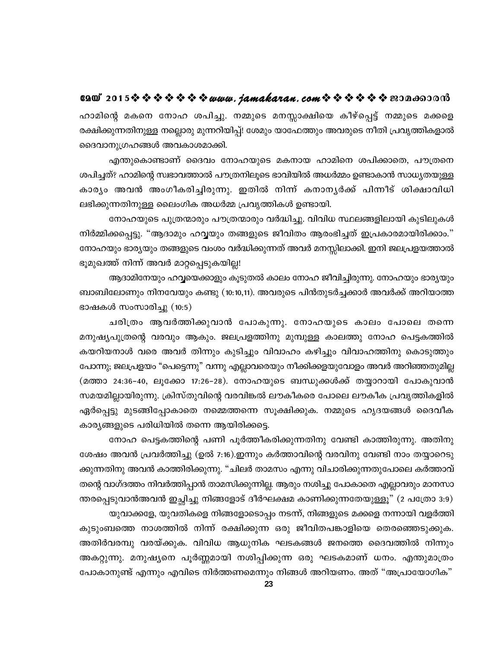#### e2@\* 2015 \$ \$ \$ \$ \$ \$ \$ *\$ www. jamakaran.com* \$ \$ \$ \$ \$ \$ \$ \$20Ano0018

ഹാമിന്റെ മകനെ നോഹ ശപിച്ചു. നമ്മുടെ മനസ്സാക്ഷിയെ കീഴ്പ്പെട്ട് നമ്മുടെ മക്കളെ രക്ഷിക്കുന്നതിനുള്ള നല്ലൊരു മുന്നറിയിപ്പ്! ശേമും യാഫേത്തും അവരുടെ നീതി പ്രവൃത്തികളാൽ ദൈവാനുഗ്രഹങ്ങൾ അവകാശമാക്കി.

എന്തുകൊണ്ടാണ് ദൈവം നോഹയുടെ മകനായ ഹാമിനെ ശപിക്കാതെ, പൗത്രനെ ശപിച്ചത്? ഹാമിന്റെ സ്വഭാവത്താൽ പൗത്രനിലൂടെ ഭാവിയിൽ അധർമ്മം ഉണ്ടാകാൻ സാധ്യതയുള്ള കാര്യം അവൻ അംഗീകരിച്ചിരുന്നു. ഇതിൽ നിന്ന് കനാനൃർക്ക് പിന്നീട് ശിക്ഷാവിധി ലഭിക്കുന്നതിനുള്ള ലൈംഗിക അധർമ്മ പ്രവൃത്തികൾ ഉണ്ടായി.

നോഹയുടെ പുത്രന്മാരും പൗത്രന്മാരും വർദ്ധിച്ചു. വിവിധ സ്ഥലങ്ങളിലായി കുടിലുകൾ നിർമ്മിക്കപ്പെട്ടു. "ആദാമും ഹവ്വയും തങ്ങളുടെ ജീവിതം ആരംഭിച്ചത് ഇപ്രകാരമായിരിക്കാം." നോഹയും ഭാര്യയും തങ്ങളുടെ വംശം വർദ്ധിക്കുന്നത് അവർ മനസ്സിലാക്കി. ഇനി ജലപ്രളയത്താൽ ഭൂമുഖത്ത് നിന്ന് അവർ മാറ്റപ്പെടുകയില്ല!

ആദാമിനേയും ഹവ്വയെക്കാളും കൂടുതൽ കാലം നോഹ ജീവിച്ചിരുന്നു. നോഹയും ഭാര്യയും ബാബിലോണും നിനവേയും കണ്ടു (10:10,11). അവരുടെ പിൻതുടർച്ചക്കാർ അവർക്ക് അറിയാത്ത ഭാഷകൾ സംസാരിച്ചു $(10:5)$ 

ചരിത്രം ആവർത്തിക്കുവാൻ പോകുന്നു. നോഹയുടെ കാലം പോലെ തന്നെ മനുഷ്യപുത്രന്റെ വരവും ആകും. ജലപ്രളത്തിനു മുമ്പുള്ള കാലത്തു നോഹ പെട്ടകത്തിൽ കയറിയനാൾ വരെ അവർ തിന്നും കുടിച്ചും വിവാഹം കഴിച്ചും വിവാഹത്തിനു കൊടുത്തും പോന്നു; ജലപ്രളയം "പെട്ടെന്നു" വന്നു എല്ലാവരെയും നീക്കിക്കളയുവോളം അവർ അറിഞ്ഞതുമില്ല (മത്താ 24:36-40, ലൂക്കോ 17:26-28). നോഹയുടെ ബന്ധുക്കൾക്ക് തയ്യാറായി പോകുവാൻ സമയമില്ലായിരുന്നു. ക്രിസ്തുവിന്റെ വരവിങ്കൽ ലൗകീകരെ പോലെ ലൗകീക പ്രവൃത്തികളിൽ ഏർപ്പെട്ടു മുടങ്ങിപ്പോകാതെ നമ്മെത്തന്നെ സൂക്ഷിക്കുക. നമ്മുടെ ഹൃദയങ്ങൾ ദൈവീക കാര്യങ്ങളുടെ പരിധിയിൽ തന്നെ ആയിരിക്കട്ടെ.

നോഹ പെട്ടകത്തിന്റെ പണി പൂർത്തീകരിക്കുന്നതിനു വേണ്ടി കാത്തിരുന്നു. അതിനു ശേഷം അവൻ പ്രവർത്തിച്ചു (ഉൽ 7:16).ഇന്നും കർത്താവിന്റെ വരവിനു വേണ്ടി നാം തയ്യാറെടു ക്കുന്നതിനു അവൻ കാത്തിരിക്കുന്നു. "ചിലർ താമസം എന്നു വിചാരിക്കുന്നതുപോലെ കർത്താവ് തന്റെ വാഗ്ദത്തം നിവർത്തിപ്പാൻ താമസിക്കുന്നില്ല. ആരും നശിച്ചു പോകാതെ എല്ലാവരും മാനസാ ന്തരപ്പെടുവാൻഅവൻ ഇച്ഛിച്ചു നിങ്ങളോട് ദീർഘക്ഷമ കാണിക്കുന്നതേയുള്ളൂ" (2 പത്രോ 3:9)

യുവാക്കളേ, യുവതികളെ നിങ്ങളോടൊപ്പം നടന്ന്, നിങ്ങളുടെ മക്കളെ നന്നായി വളർത്തി കുടുംബത്തെ നാശത്തിൽ നിന്ന് രക്ഷിക്കുന്ന ഒരു ജീവിതപങ്കാളിയെ തെരഞ്ഞെടുക്കുക. അതിർവരമ്പു വരയ്ക്കുക. വിവിധ ആധുനിക ഘടകങ്ങൾ ജനത്തെ ദൈവത്തിൽ നിന്നും അകറ്റുന്നു. മനുഷ്യനെ പൂർണ്ണമായി നശിപ്പിക്കുന്ന ഒരു ഘടകമാണ് ധനം. എന്തുമാത്രം പോകാനുണ്ട് എന്നും എവിടെ നിർത്തണമെന്നും നിങ്ങൾ അറിയണം. അത് "അപ്രായോഗിക"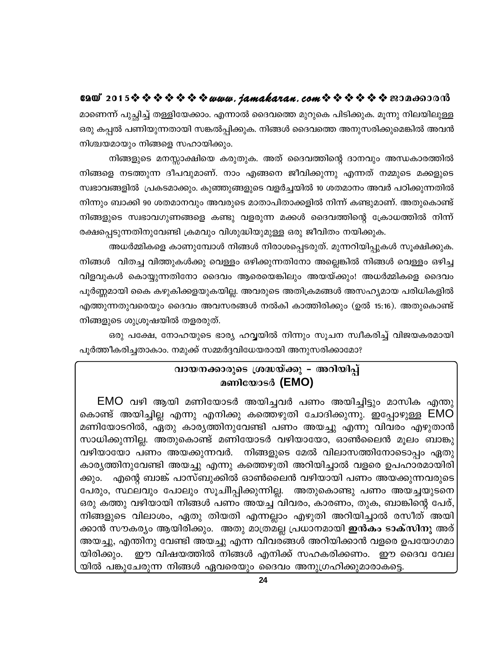മാണെന്ന് പുച്ഛിച്ച് തള്ളിയേക്കാം. എന്നാൽ ദൈവത്തെ മുറുകെ പിടിക്കുക. മൂന്നു നിലയിലുള്ള ഒരു കപ്പൽ പണിയുന്നതായി സങ്കൽപ്പിക്കുക. നിങ്ങൾ ദൈവത്തെ അനുസരിക്കുമെങ്കിൽ അവൻ നിശ്ചയമായും നിങ്ങളെ സഹായിക്കും.

നിങ്ങളുടെ മനസ്സാക്ഷിയെ കരുതുക. അത് ദൈവത്തിന്റെ ദാനവും അന്ധകാരത്തിൽ നിങ്ങളെ നടത്തുന്ന ദീപവുമാണ്. നാം എങ്ങനെ ജീവിക്കുന്നു എന്നത് നമ്മുടെ മക്കളുടെ സ്വഭാവങ്ങളിൽ പ്രകടമാക്കും. കുഞ്ഞുങ്ങളുടെ വളർച്ചയിൽ 10 ശതമാനം അവർ പഠിക്കുന്നതിൽ നിന്നും ബാക്കി 90 ശതമാനവും അവരുടെ മാതാപിതാക്കളിൽ നിന്ന് കണ്ടുമാണ്. അതുകൊണ്ട് നിങ്ങളുടെ സ്വഭാവഗുണങ്ങളെ കണ്ടു വളരുന്ന മക്കൾ ദൈവത്തിന്റെ ക്രോധത്തിൽ നിന്ന് രക്ഷപ്പെടുന്നതിനുവേണ്ടി ക്രമവും വിശുദ്ധിയുമുള്ള ഒരു ജീവിതം നയിക്കുക.

അധർമ്മികളെ കാണുമ്പോൾ നിങ്ങൾ നിരാശപ്പെടരുത്. മുന്നറിയിപ്പുകൾ സൂക്ഷിക്കുക. നിങ്ങൾ വിതച്ച വിത്തുകൾക്കു വെള്ളം ഒഴിക്കുന്നതിനോ അല്ലെങ്കിൽ നിങ്ങൾ വെള്ളം ഒഴിച്ച വിളവുകൾ കൊയ്യുന്നതിനോ ദൈവം ആരെയെങ്കിലും അയയ്ക്കും! അധർമ്മികളെ ദൈവം പൂർണ്ണമായി കൈ കഴുകിക്കളയുകയില്ല. അവരുടെ അതിക്രമങ്ങൾ അസഹ്യമായ പരിധികളിൽ എത്തുന്നതുവരെയും ദൈവം അവസരങ്ങൾ നൽകി കാത്തിരിക്കും (ഉൽ 15:16). അതുകൊണ്ട് നിങ്ങളുടെ ശുശ്രൂഷയിൽ തളരരുത്.

ഒരു പക്ഷേ, നോഹയുടെ ഭാര്യ ഹവ്വയിൽ നിന്നും സൂചന സ്വീകരിച്ച് വിജയകരമായി പൂർത്തീകരിച്ചതാകാം. നമുക്ക് സമ്മർദ്ദവിധേയരായി അനുസരിക്കാമോ?

## വായനക്കാരുടെ ശ്രദ്ധയ്ക്കു - അറിയിപ് മണിയോടർ (EMO)

EMO വഴി ആയി മണിയോടർ അയിച്ചവർ പണം അയിച്ചിട്ടും മാസിക എന്തു കൊണ്ട് അയിച്ചില്ല എന്നു എനിക്കു കത്തെഴുതി ചോദിക്കുന്നു. ഇപ്പോഴുള്ള EMO മണിയോടറിൽ, ഏതു കാര്യത്തിനുവേണ്ടി പണം അയച്ചു എന്നു വിവരം എഴുതാൻ സാധിക്കുന്നില്ല. അതുകൊണ്ട് മണിയോടർ വഴിയായോ, ഓൺലൈൻ മൂലം ബാങ്കു വഴിയായോ പണം അയക്കുന്നവർ. നിങ്ങളുടെ മേൽ വിലാസത്തിനോടൊപ്പം ഏതു കാര്യത്തിനുവേണ്ടി അയച്ചു എന്നു കത്തെഴുതി അറിയിച്ചാൽ വളരെ ഉപഹാരമായിരി .എന്റെ ബാങ്ക് പാസ്ബുക്കിൽ ഓൺലൈൻ വഴിയായി പണം അയക്കുന്നവരുടെ ക്കും. പേരും, സ്ഥലവും പോലും സൂചിിപ്പിക്കുന്നില്ല. അതുകൊണ്ടു പണം അയച്ചയുടനെ ഒരു കത്തു വഴിയായി നിങ്ങൾ പണം അയച്ച വിവരം, കാരണം, തുക, ബാങ്കിന്റെ പേര്, നിങ്ങളുടെ വിലാശം, ഏതു തിയതി എന്നല്ലാം എഴുതി അറിയിച്ചാൽ രസീത് അയി ക്കാൻ സൗകര്യം ആയിരിക്കും. അതു മാത്രമല്ല പ്രധാനമായി **ഇൻകം ടാക്സിനു** അര് അയച്ചു, എന്തിനു വേണ്ടി അയച്ചു എന്ന വിവരങ്ങൾ അറിയിക്കാൻ വളരെ ഉപയോഗമാ ഈ വിഷയത്തിൽ നിങ്ങൾ എനിക്ക് സഹകരിക്കണം. ഈ ദൈവ വേല യിരിക്കും. യിൽ പങ്കുചേരുന്ന നിങ്ങൾ ഏവരെയും ദൈവം അനുഗ്രഹിക്കുമാരാകട്ടെ.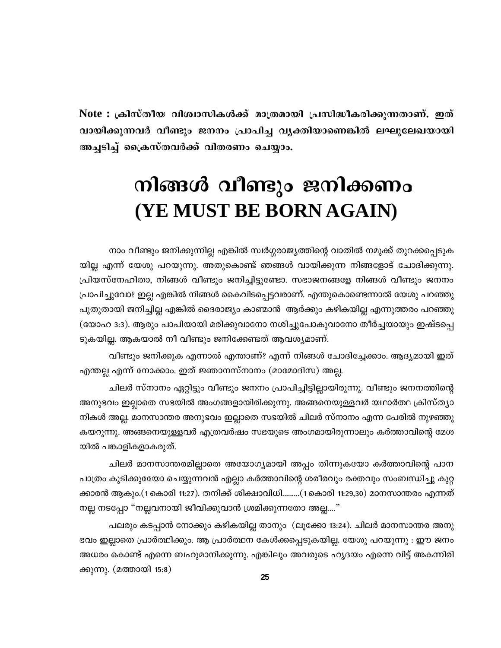Note : ക്രിസ്തീയ വിശ്വാസികൾക്ക് മാത്രമായി പ്രസിദ്ധീകരിക്കുന്നതാണ്. ഇത് വായിക്കുന്നവർ വീണ്ടും ജനനം പ്രാപിച്ച വ്യക്തിയാണെങ്കിൽ ലഘുലേഖയായി അച്ചടിച്ച് ക്രൈസ്തവർക്ക് വിതരണം ചെയ്യാം.

# നിങ്ങൾ വീണ്ടും ജനിക്കണം (YE MUST BE BORN AGAIN)

നാം വീണ്ടും ജനിക്കുന്നില്ല എങ്കിൽ സ്വർഗ്ഗരാജ്യത്തിന്റെ വാതിൽ നമുക്ക് തുറക്കപ്പെടുക യില്ല എന്ന് യേശു പറയുന്നു. അതുകൊണ്ട് ഞങ്ങൾ വായിക്കുന്ന നിങ്ങളോട് ചോദിക്കുന്നു. പ്രിയസ്നേഹിതാ, നിങ്ങൾ വീണ്ടും ജനിച്ചിട്ടുണ്ടോ. സഭാജനങ്ങളേ നിങ്ങൾ വീണ്ടും ജനനം പ്രാപിച്ചുവോ? ഇല്ല എങ്കിൽ നിങ്ങൾ കൈവിടപ്പെട്ടവരാണ്. എന്തുകൊണ്ടെന്നാൽ യേശു പറഞ്ഞു പുതുതായി ജനിച്ചില്ല എങ്കിൽ ദൈരാജ്യം കാണ്മാൻ ആർക്കും കഴികയില്ല എന്നുത്തരം പറഞ്ഞു (യോഹ 3:3). ആരും പാപിയായി മരിക്കുവാനോ നശിച്ചുപോകുവാനോ തീർച്ചയായും ഇഷ്ടപ്പെ ടുകയില്ല. ആകയാൽ നീ വീണ്ടും ജനിക്കേണ്ടത് ആവശ്യമാണ്.

വീണ്ടും ജനിക്കുക എന്നാൽ എന്താണ്? എന്ന് നിങ്ങൾ ചോദിച്ചേക്കാം. ആദ്യമായി ഇത് എന്തല്ല എന്ന് നോക്കാം. ഇത് ജ്ഞാനസ്നാനം (മാമോദിസ) അല്ല.

ചിലർ സ്നാനം ഏറ്റിട്ടും വീണ്ടും ജനനം പ്രാപിച്ചിട്ടില്ലായിരുന്നു. വീണ്ടും ജനനത്തിന്റെ അനുഭവം ഇല്ലാതെ സഭയിൽ അംഗങ്ങളായിരിക്കുന്നു. അങ്ങനെയുള്ളവർ യഥാർത്ഥ ക്രിസ്ത്യാ നികൾ അല്ല. മാനസാന്തര അനുഭവം ഇല്ലാതെ സഭയിൽ ചിലർ സ്നാനം എന്ന പേരിൽ നുഴഞ്ഞു കയറുന്നു. അങ്ങനെയുള്ളവർ എത്രവർഷം സഭയുടെ അംഗമായിരുന്നാലും കർത്താവിന്റെ മേശ യിൽ പങ്കാളികളാകരുത്.

ചിലർ മാനസാന്തരമില്ലാതെ അയോഗ്യമായി അപ്പം തിന്നുകയോ കർത്താവിന്റെ പാന പാത്രം കുടിക്കുരേയാ ചെയ്യുന്നവൻ എല്ലാ കർത്താവിന്റെ ശരീരവും രക്തവും സംബന്ധിച്ചു കുറ്റ ക്കാരൻ ആകും.(1കൊരി 11:27). തനിക്ക് ശിക്ഷാവിധി.........(1കൊരി 11:29,30) മാനസാന്തരം എന്നത് നല്ല നടപ്പോ "നല്ലവനായി ജീവിക്കുവാൻ ശ്രമിക്കുന്നതോ അല്ല...."

പലരും കടപ്പാൻ നോക്കും കഴികയില്ല താനും (ലൂക്കോ 13:24). ചിലർ മാനസാന്തര അനു ഭവം ഇല്ലാതെ പ്രാർത്ഥിക്കും. ആ പ്രാർത്ഥന കേൾക്കപ്പെടുകയില്ല. യേശു പറയുന്നു : ഈ ജനം അധരം കൊണ്ട് എന്നെ ബഹുമാനിക്കുന്നു. എങ്കിലും അവരുടെ ഹൃദയം എന്നെ വിട്ട് അകന്നിരി ക്കുന്നു. (മത്തായി 15:8)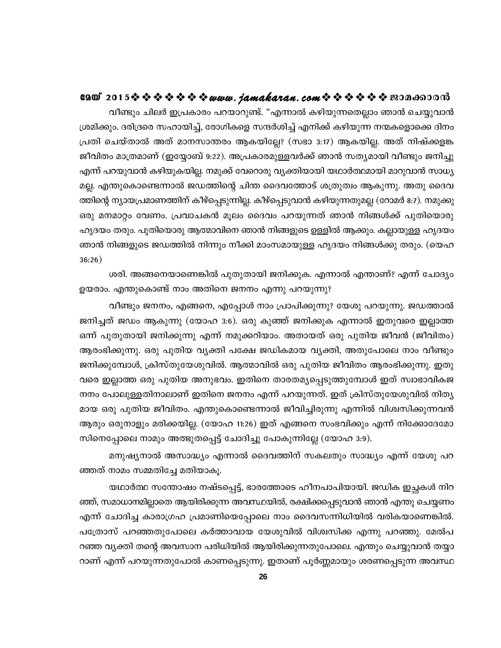# 6200°2015※※※※※※※*www.jamakaran.com*※※※※※※200c60000

വീണ്ടും ചിലർ ഇപ്രകാരം പറയാറുണ്ട്. "എന്നാൽ കഴിയുന്നതെല്ലാം ഞാൻ ചെയ്യുവാൻ ശ്രമിക്കും. ദരിദ്രരെ സഹായിച്ച്, രോഗികളെ സന്ദർശിച്ച് എനിക്ക് കഴിയുന്ന നന്മകളൊക്കെ ദിനം പ്രതി ചെയ്താൽ അത് മാനസാന്തരം ആകയില്ലേ? (സഭാ 3:17) ആകയില്ല. അത് നിഷ്ക്കളങ്ക ജീവിതം മാത്രമാണ് (ഇയ്യോബ് 9:22). അപ്രകാരമുള്ളവർക്ക് ഞാൻ സത്യമായി വീണ്ടും ജനിച്ചു എന്ന് പറയുവാൻ കഴിയുകയില്ല. നമുക്ക് വേറൊരു വ്യക്തിയായി യഥാർത്ഥമായി മാറുവാൻ സാധ്യ മല്ല. എന്തുകൊണ്ടെന്നാൽ ജഡത്തിന്റെ ചിന്ത ദൈവത്തോട് ശത്രുത്വം ആകുന്നു. അതു ദൈവ ത്തിന്റെ ന്യായപ്രമാണത്തിന് കീഴ്പ്പെടുന്നില്ല. കീഴ്പ്പെടുവാൻ കഴിയുന്നതുമല്ല (റോമർ 8:7). നമുക്കു ഒരു മനമാറ്റം വേണം. പ്രവാചകൻ മൂലം ദൈവം പറയുന്നത് ഞാൻ നിങ്ങൾക്ക് പുതിയൊരു ഹൃദയം തരും. പുതിയൊരു ആത്മാവിനെ ഞാൻ നിങ്ങളുടെ ഉള്ളിൽ ആക്കും. കല്ലായുള്ള ഹൃദയം ഞാൻ നിങ്ങളുടെ ജഡത്തിൽ നിന്നും നീക്കി മാംസമായുള്ള ഹൃദയം നിങ്ങൾക്കു തരും. (യെഹ  $36:26)$ 

ശരി. അങ്ങനെയാണെങ്കിൽ പുതുതായി ജനിക്കുക. എന്നാൽ എന്താണ്? എന്ന് ചോദ്യം ഉയരാം. എന്തുകൊണ്ട് നാം അതിനെ ജനനം എന്നു പറയുന്നു?

വീണ്ടും ജനനം, എങ്ങനെ, എപ്പോൾ നാം പ്രാപിക്കുന്നു? യേശു പറയുന്നു. ജഡത്താൽ ജനിച്ചത് ജഡം ആകുന്നു (യോഹ 3:6). ഒരു കുഞ്ഞ് ജനിക്കുക എന്നാൽ ഇതുവരെ ഇല്ലാത്ത ഒന്ന് പുതുതായി ജനിക്കുന്നു എന്ന് നമുക്കറിയാം. അതായത് ഒരു പുതിയ ജീവൻ (ജീവിതം) ആരംഭിക്കുന്നു. ഒരു പുതിയ വൃക്തി പക്ഷേ ജഡികമായ വൃക്തി, അതുപോലെ നാം വീണ്ടും ജനിക്കുമ്പോൾ, ക്രിസ്തുയേശുവിൽ. ആത്മാവിൽ ഒരു പുതിയ ജീവിതം ആരംഭിക്കുന്നു. ഇതു വരെ ഇല്ലാത്ത ഒരു പുതിയ അനുഭവം. ഇതിനെ താരതമ്യപ്പെടുത്തുമ്പോൾ ഇത് സ്വാഭാവികജ നനം പോലുള്ളതിനാലാണ് ഇതിനെ ജനനം എന്ന് പറയുന്നത്. ഇത് ക്രിസ്തുയേശുവിൽ നിതൃ മായ ഒരു പുതിയ ജീവിതം. എന്തുകൊണ്ടെന്നാൽ ജീവിച്ചിരുന്നു എന്നിൽ വിശ്വസിക്കുന്നവൻ ആരും ഒരുനാളും മരിക്കയില്ല. (യോഹ 11:26) ഇത് എങ്ങനെ സംഭവിക്കും എന്ന് നിക്കോദേമോ സിനെപ്പോലെ നാമും അത്ഭുതപ്പെട്ട് ചോദിച്ചു പോകുന്നില്ലേ (യോഹ 3:9).

മനുഷ്യനാൽ അസാദ്ധ്യം എന്നാൽ ദൈവത്തിന് സകലതും സാദ്ധ്യം എന്ന് യേശു പറ ഞ്ഞത് നാമം സമ്മതിച്ചേ മതിയാകൂ.

യഥാർത്ഥ സന്തോഷം നഷ്ടപ്പെട്ട്, ഭാരത്തോടെ ഹീനപാപിയായി. ജഡിക ഇച്ഛകൾ നിറ ഞ്ഞ്, സമാധാനമില്ലാതെ ആയിരിക്കുന്ന അവസ്ഥയിൽ, രക്ഷിക്കപ്പെടുവാൻ ഞാൻ എന്തു ചെയ്യണം എന്ന് ചോദിച്ച കാരാഗ്രഹ പ്രമാണിയെപ്പോലെ നാം ദൈവസന്നിധിയിൽ വരികയാണെങ്കിൽ. പത്രോസ് പറഞ്ഞതുപോലെ കർത്താവായ യേശുവിൽ വിശ്വസിക്ക എന്നു പറഞ്ഞു. മേൽപ റഞ്ഞ വ്യക്തി തന്റെ അവസാന പരിധിയിൽ ആയിരിക്കുന്നതുപോലെ. എന്തും ചെയ്യുവാൻ തയ്യാ റാണ് എന്ന് പറയുന്നതുപോൽ കാണപ്പെടുന്നു. ഇതാണ് പൂർണ്ണമായും ശരണപ്പെടുന്ന അവസ്ഥ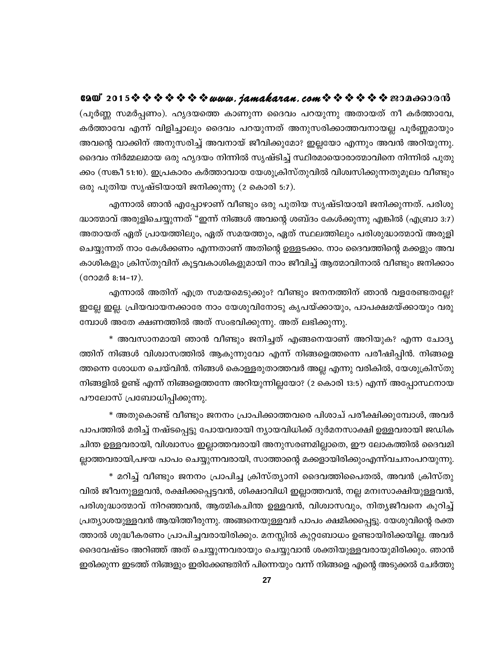6200°2015※※※※※※※*www.jamakaran.com*※※※※※※200c60000 (പൂർണ്ണ സമർപ്പണം). ഹൃദയത്തെ കാണുന്ന ദൈവം പറയുന്നു അതായത് നീ കർത്താവേ, കർത്താവേ എന്ന് വിളിച്ചാലും ദൈവം പറയുന്നത് അനുസരിക്കാത്തവനായല്ല പൂർണ്ണമായും അവന്റെ വാക്കിന് അനുസരിച്ച് അവനായ് ജീവിക്കുമോ? ഇല്ലയോ എന്നും അവൻ അറിയുന്നു. ദൈവം നിർമ്മലമായ ഒരു ഹൃദയം നിന്നിൽ സൃഷ്ടിച്ച് സ്ഥിരമായൊരാത്മാവിനെ നിന്നിൽ പുതു ക്കം (സങ്കീ 51:10). ഇപ്രകാരം കർത്താവായ യേശുക്രിസ്തുവിൽ വിശ്വസിക്കുന്നതുമൂലം വീണ്ടും ഒരു പുതിയ സൃഷ്ടിയായി ജനിക്കുന്നു (2 കൊരി 5:7).

എന്നാൽ ഞാൻ എപ്പോഴാണ് വീണ്ടും ഒരു പുതിയ സൃഷ്ടിയായി ജനിക്കുന്നത്. പരിശു ദ്ധാത്മാവ് അരുളിചെയ്യുന്നത് "ഇന്ന് നിങ്ങൾ അവന്റെ ശബ്ദം കേൾക്കുന്നു എങ്കിൽ (എബ്രാ 3:7) അതായത് ഏത് പ്രായത്തിലും, ഏത് സമയത്തും, ഏത് സ്ഥലത്തിലും പരിശുദ്ധാത്മാവ് അരുളി ചെയ്യുന്നത് നാം കേൾക്കണം എന്നതാണ് അതിന്റെ ഉള്ളടക്കം. നാം ദൈവത്തിന്റെ മക്കളും അവ കാശികളും ക്രിസ്തുവിന് കൂട്ടവകാശികളുമായി നാം ജീവിച്ച് ആത്മാവിനാൽ വീണ്ടും ജനിക്കാം  $($  @ O  $\alpha$   $\alpha$   $\beta$  8:14 – 17  $\alpha$ .

എന്നാൽ അതിന് എത്ര സമയമെടുക്കും? വീണ്ടും ജനനത്തിന് ഞാൻ വളരേണ്ടതല്ലേ? ഇല്ലേ ഇല്ല. പ്രിയവായനക്കാരേ നാം യേശുവിനോടു കൃപയ്ക്കായും, പാപക്ഷമയ്ക്കായും വരു മ്പോൾ അതേ ക്ഷണത്തിൽ അത് സംഭവിക്കുന്നു. അത് ലഭിക്കുന്നു.

\* അവസാനമായി ഞാൻ വീണ്ടും ജനിച്ചത് എങ്ങനെയാണ് അറിയുക? എന്ന ചോദ്യ ത്തിന് നിങ്ങൾ വിശ്വാസത്തിൽ ആകുന്നുവോ എന്ന് നിങ്ങളെത്തന്നെ പരീഷിപ്പിൻ. നിങ്ങളെ ത്തന്നെ ശോധന ചെയ്വിൻ. നിങ്ങൾ കൊള്ളരുതാത്തവർ അല്ല എന്നു വരികിൽ, യേശുക്രിസ്തു നിങ്ങളിൽ ഉണ്ട് എന്ന് നിങ്ങളെത്തന്നേ അറിയുന്നില്ലയോ? (2 കൊരി 13:5) എന്ന് അപ്പോസ്ഥനായ പൗലോസ് പ്രബോധിപ്പിക്കുന്നു.

\* അതുകൊണ്ട് വീണ്ടും ജനനം പ്രാപിക്കാത്തവരെ പിശാച് പരീക്ഷിക്കുമ്പോൾ, അവർ പാപത്തിൽ മരിച്ച് നഷ്ടപ്പെട്ടു പോയവരായി ന്യായവിധിക്ക് ദുർമനസാക്ഷി ഉള്ളവരായി ജഡിക ചിന്ത ഉള്ളവരായി, വിശ്വാസം ഇല്ലാത്തവരായി അനുസരണമില്ലാതെ, ഈ ലോകത്തിൽ ദൈവമി ല്ലാത്തവരായി,പഴയ പാപം ചെയ്യുന്നവരായി, സാത്താന്റെ മക്കളായിരിക്കുംഎന്ന്വചനംപറയുന്നു.

\* മറിച്ച് വീണ്ടും ജനനം പ്രാപിച്ച ക്രിസ്ത്യാനി ദൈവത്തിപൈതൽ, അവൻ ക്രിസ്തു വിൽ ജീവനുള്ളവൻ, രക്ഷിക്കപ്പെട്ടവൻ, ശിക്ഷാവിധി ഇല്ലാത്തവൻ, നല്ല മനഃസാക്ഷിയുള്ളവൻ, പരിശുദ്ധാത്മാവ് നിറഞ്ഞവൻ, ആത്മികചിന്ത ഉള്ളവൻ, വിശ്വാസവും, നിത്യജീവനെ കുറിച്ച് പ്രത്യാശയുള്ളവൻ ആയിത്തീരുന്നു. അങ്ങനെയുള്ളവർ പാപം ക്ഷമിക്കപ്പെട്ടു. യേശുവിന്റെ രക്ത ത്താൽ ശുദ്ധീകരണം പ്രാപിച്ചവരായിരിക്കും. മനസ്സിൽ കുറ്റബോധം ഉണ്ടായിരിക്കയില്ല. അവർ ദൈവേഷ്ടം അറിഞ്ഞ് അത് ചെയ്യുന്നവരായും ചെയ്യുവാൻ ശക്തിയുള്ളവരായുമിരിക്കും. ഞാൻ ഇരിക്കുന്ന ഇടത്ത് നിങ്ങളും ഇരിക്കേണ്ടതിന് പിന്നെയും വന്ന് നിങ്ങളെ എന്റെ അടുക്കൽ ചേർത്തു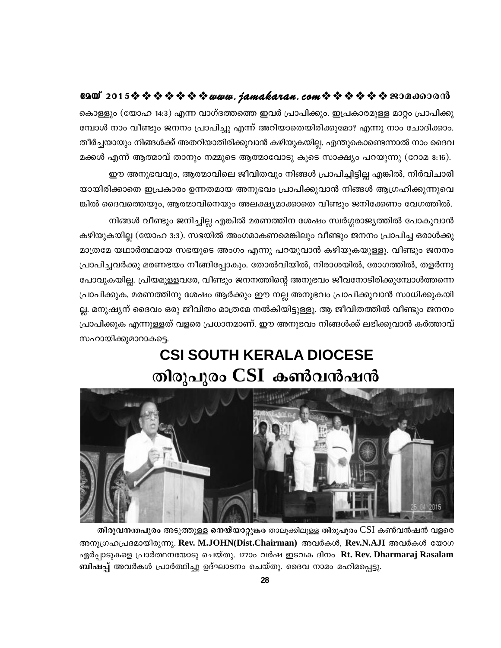#### $0.900$  2015 \* \* \* \* \* \* \* \* www.jamakaran.com \* \* \* \* \* \* \* \* 200600000

കൊള്ളും (യോഹ 14:3) എന്ന വാഗ്ദത്തത്തെ ഇവർ പ്രാപിക്കും. ഇപ്രകാരമുള്ള മാറ്റം പ്രാപിക്കു മ്പോൾ നാം വീണ്ടും ജനനം പ്രാപിച്ചു എന്ന് അറിയാതെയിരിക്കുമോ? എന്നു നാം ചോദിക്കാം. തീർച്ചയായും നിങ്ങൾക്ക് അതറിയാതിരിക്കുവാൻ കഴിയുകയില്ല. എന്തുകൊണ്ടെന്നാൽ നാം ദൈവ മക്കൾ എന്ന് ആത്മാവ് താനും നമ്മുടെ ആത്മാവോടു കൂടെ സാക്ഷ്യം പറയുന്നു (റോമ 8:16).

ഈ അനുഭവവും, ആത്മാവിലെ ജീവിതവും നിങ്ങൾ പ്രാപിച്ചിട്ടില്ല എങ്കിൽ, നിർവിചാരി യായിരിക്കാതെ ഇപ്രകാരം ഉന്നതമായ അനുഭവം പ്രാപിക്കുവാൻ നിങ്ങൾ ആഗ്രഹിക്കുന്നുവെ ങ്കിൽ ദൈവത്തെയും, ആത്മാവിനെയും അലക്ഷ്യമാക്കാതെ വീണ്ടും ജനിക്കേണം വേഗത്തിൽ.

നിങ്ങൾ വീണ്ടും ജനിച്ചില്ല എങ്കിൽ മരണത്തിന ശേഷം സ്വർഗ്ഗരാജ്യത്തിൽ പോകുവാൻ കഴിയുകയില്ല (യോഹ 3:3). സഭയിൽ അംഗമാകണമെങ്കിലും വീണ്ടും ജനനം പ്രാപിച്ച ഒരാൾക്കു മാത്രമേ യഥാർത്ഥമായ സഭയുടെ അംഗം എന്നു പറയുവാൻ കഴിയുകയുള്ളൂ. വീണ്ടും ജനനം പ്രാപിച്ചവർക്കു മരണഭയം നീങ്ങിപ്പോകും. തോൽവിയിൽ, നിരാശയിൽ, രോഗത്തിൽ, തളർന്നു പോവുകയില്ല. പ്രിയമുളളവരേ, വീണ്ടും ജനനത്തിന്റെ അനുഭവം ജീവനോടിരിക്കുമ്പോൾത്തന്നെ പ്രാപിക്കുക. മരണത്തിനു ശേഷം ആർക്കും ഈ നല്ല അനുഭവം പ്രാപിക്കുവാൻ സാധിക്കുകയി ല്ല. മനുഷ്യന് ദൈവം ഒരു ജീവിതം മാത്രമേ നൽകിയിട്ടുള്ളൂ. ആ ജീവിതത്തിൽ വീണ്ടും ജനനം പ്രാപിക്കുക എന്നുള്ളത് വളരെ പ്രധാനമാണ്. ഈ അനുഭവം നിങ്ങൾക്ക് ലഭിക്കുവാൻ കർത്താവ് സഹായിക്കുമാറാകട്ടെ.

# **CSI SOUTH KERALA DIOCESE** തിരുപുരം CSI കൺവൻഷൻ



തിരുവനന്തപുരം അടുത്തുള്ള നെയ്യാറ്റുങ്കര താലൂക്കിലൂള്ള തിരുപുരം CSI കൺവൻഷൻ വളരെ അനുഗ്രഹപ്രദമായിരുന്നു. Rev. M.JOHN(Dist.Chairman) അവർകൾ, Rev.N.AJI അവർകൾ യോഗ ഏർപ്പാടുകളെ പ്രാർത്ഥനയോടു ചെയ്തു. 177ാം വർഷ ഇടവക ദിനം Rt. Rev. Dharmaraj Rasalam ബിഷപ്പ് അവർകൾ പ്രാർത്ഥിച്ചു ഉദ്ഘാടനം ചെയ്തു. ദൈവ നാമം മഹിമപ്പെട്ടു.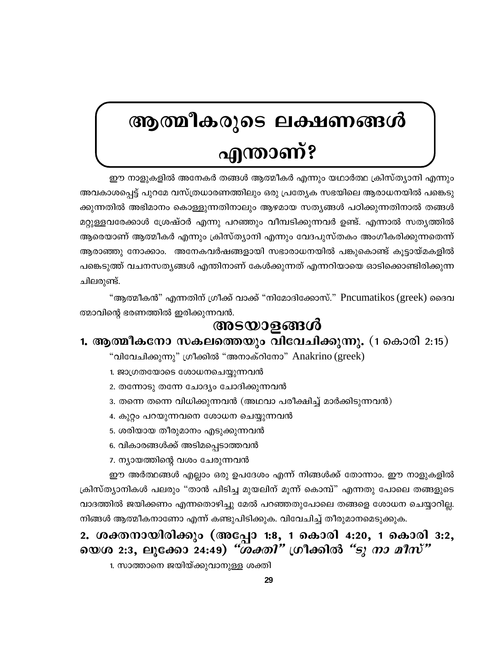# ആത്മീകരുടെ ലക്ഷണങ്ങൾ <u>എന്താണ്?</u>

ഈ നാളുകളിൽ അനേകർ തങ്ങൾ ആത്മീകർ എന്നും യഥാർത്ഥ ക്രിസ്ത്യാനി എന്നും അവകാശപ്പെട്ട് പുറമേ വസ്ത്രധാരണത്തിലും ഒരു പ്രത്യേക സഭയിലെ ആരാധനയിൽ പങ്കെടു ക്കുന്നതിൽ അഭിമാനം കൊള്ളുന്നതിനാലും ആഴമായ സത്യങ്ങൾ പഠിക്കുന്നതിനാൽ തങ്ങൾ മറ്റുള്ളവരേക്കാൾ ശ്രേഷ്ഠർ എന്നു പറഞ്ഞും വീമ്പടിക്കുന്നവർ ഉണ്ട്. എന്നാൽ സത്യത്തിൽ ആരെയാണ് ആത്മീകർ എന്നും ക്രിസ്ത്യാനി എന്നും വേദപുസ്തകം അംഗീകരിക്കുന്നതെന്ന് ആരാഞ്ഞു നോക്കാം. അനേകവർഷങ്ങളായി സഭാരാധനയിൽ പങ്കുകൊണ്ട് കൂട്ടായ്മകളിൽ പങ്കെടുത്ത് വചനസത്യങ്ങൾ എന്തിനാണ് കേൾക്കുന്നത് എന്നറിയായെ ഓടിക്കൊണ്ടിരിക്കുന്ന ചിലരുണ്ട്.

"ആത്മീകൻ" എന്നതിന് ഗ്രീക്ക് വാക്ക് "നിമോദിക്കോസ്." Pncumatikos (greek) ദൈവ ത്മാവിന്റെ ഭരണത്തിൽ ഇരിക്കുന്നവൻ.

# അടയാളങ്ങൾ

## 1. ആത്മീകനോ സകലത്തെയും വിവേചിക്കുന്നു. (1 കൊരി 2:15)

"വിവേചിക്കുന്നു" ഗ്രീക്കിൽ "അനാക്റിനോ" Anakrino (greek)

- 1. ജാഗ്രതയോടെ ശോധനചെയ്യുന്നവൻ
- 2. തന്നോടു തന്നേ ചോദ്യം ചോദിക്കുന്നവൻ
- 3. തന്നെ തന്നെ വിധിക്കുന്നവൻ (അഥവാ പരീക്ഷിച്ച് മാർക്കിടുന്നവൻ)
- 4. കുറ്റം പറയുന്നവനെ ശോധന ചെയ്യുന്നവൻ
- 5. ശരിയായ തീരുമാനം എടുക്കുന്നവൻ
- 6. വികാരങ്ങൾക്ക് അടിമപ്പെടാത്തവൻ
- 7. ന്യായത്തിന്റെ വശം ചേരുന്നവൻ

ഈ അർത്ഥങ്ങൾ എല്ലാം ഒരു ഉപദേശം എന്ന് നിങ്ങൾക്ക് തോന്നാം. ഈ നാളുകളിൽ ക്രിസ്ത്യാനികൾ പലരും "താൻ പിടിച്ച മുയലിന് മൂന്ന് കൊമ്പ്" എന്നതു പോലെ തങ്ങളുടെ വാദത്തിൽ ജയിക്കണം എന്നതൊഴിച്ചു മേൽ പറഞ്ഞതുപോലെ തങ്ങളെ ശോധന ചെയ്യാറില്ല. നിങ്ങൾ ആത്മീകനാണോ എന്ന് കണ്ടുപിടിക്കുക. വിവേചിച്ച് തീരുമാനമെടുക്കുക.

# 2. ശക്തനായിരിക്കും (അപ്പോ 1:8, 1 കൊരി 4:20, 1 കൊരി 3:2, യെശ 2:3, ലൂക്കോ 24:49) *"ശക്തി"* ഗ്രീക്കിൽ *"ടു നാ മീസ്"*

1. സാത്താനെ ജയിയ്ക്കുവാനുള്ള ശക്തി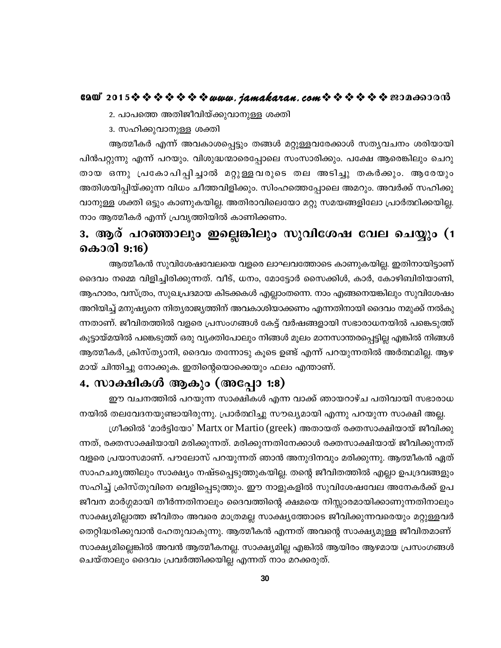2. പാപത്തെ അതിജീവിയ്ക്കുവാനുള്ള ശക്തി

3. സഹിക്കുവാനുള്ള ശക്തി

ആത്മീകർ എന്ന് അവകാശപ്പെട്ടും തങ്ങൾ മറ്റുള്ളവരേക്കാൾ സതൃവചനം ശരിയായി പിൻപറ്റുന്നു എന്ന് പറയും. വിശുദ്ധന്മാരെപ്പോലെ സംസാരിക്കും. പക്ഷേ ആരെങ്കിലും ചെറു തായ ഒന്നു പ്രകോപിപ്പിച്ചാൽ മറ്റുള്ളവരുടെ തല അടിച്ചു തകർക്കും. ആരേയും അതിശയിപ്പിയ്ക്കുന്ന വിധം ചീത്തവിളിക്കും. സിംഹത്തെപ്പോലെ അമറും. അവർക്ക് സഹിക്കു വാനുള്ള ശക്തി ഒട്ടും കാണുകയില്ല. അതിരാവിലെയോ മറ്റു സമയങ്ങളിലോ പ്രാർത്ഥിക്കയില്ല. നാം ആത്മീകർ എന്ന് പ്രവൃത്തിയിൽ കാണിക്കണം.

# 3. ആര് പറഞ്ഞാലും ഇല്ലെങ്കിലും സുവിശേഷ വേല ചെയ്യും (1 കൊരി 9:16)

ആത്മീകൻ സുവിശേഷവേലയെ വളരെ ലാഘവത്തോടെ കാണുകയില്ല. ഇതിനായിട്ടാണ് ദൈവം നമ്മെ വിളിച്ചിരിക്കുന്നത്. വീട്, ധനം, മോട്ടോർ സൈക്കിൾ, കാർ, കോഴിബിരിയാണി, ആഹാരം, വസ്ത്രം, സുഖപ്രദമായ കിടക്കകൾ എല്ലാംതന്നെ. നാം എങ്ങനെയങ്കിലും സുവിശേഷം അറിയിച്ച് മനുഷ്യനെ നിത്യരാജ്യത്തിന് അവകാശിയാക്കണം എന്നതിനായി ദൈവം നമുക്ക് നൽകു ന്നതാണ്. ജീവിതത്തിൽ വളരെ പ്രസംഗങ്ങൾ കേട്ട് വർഷങ്ങളായി സഭാരാധനയിൽ പങ്കെടുത്ത് കൂട്ടായ്മയിൽ പങ്കെടുത്ത് ഒരു വ്യക്തിപോലും നിങ്ങൾ മൂലം മാനസാന്തരപ്പെട്ടില്ല എങ്കിൽ നിങ്ങൾ ആത്മീകർ, ക്രിസ്ത്യാനി, ദൈവം തന്നോടു കൂടെ ഉണ്ട് എന്ന് പറയുന്നതിൽ അർത്ഥമില്ല. ആഴ മായ് ചിന്തിച്ചു നോക്കുക. ഇതിന്റെയൊക്കെയും ഫലം എന്താണ്.

# 4. സാക്ഷികൾ ആകും (അപ്പോ 1:8)

ഈ വചനത്തിൽ പറയുന്ന സാക്ഷികൾ എന്ന വാക്ക് ഞായറാഴ്ച പതിവായി സഭാരാധ നയിൽ തലവേദനയുണ്ടായിരുന്നു. പ്രാർത്ഥിച്ചു സൗഖ്യമായി എന്നു പറയുന്ന സാക്ഷി അല്ല.

ഗ്രീക്കിൽ 'മാർട്ടിയോ' Martx or Martio (greek) അതായത് രക്തസാക്ഷിയായ് ജീവിക്കു ന്നത്, രക്തസാക്ഷിയായി മരിക്കുന്നത്. മരിക്കുന്നതിനേക്കാൾ രക്തസാക്ഷിയായ് ജീവിക്കുന്നത് വളരെ പ്രയാസമാണ്. പൗലോസ് പറയുന്നത് ഞാൻ അനുദിനവും മരിക്കുന്നു. ആത്മീകൻ ഏത് സാഹചര്യത്തിലും സാക്ഷ്യം നഷ്ടപ്പെടുത്തുകയില്ല. തന്റെ ജീവിതത്തിൽ എല്ലാ ഉപദ്രവങ്ങളും സഹിച്ച് ക്രിസ്തുവിനെ വെളിപ്പെടുത്തും. ഈ നാളുകളിൽ സുവിശേഷവേല അനേകർക്ക് ഉപ ജീവന മാർഗ്ഗമായി തീർന്നതിനാലും ദൈവത്തിന്റെ ക്ഷമയെ നിസ്സാരമായിക്കാണുന്നതിനാലും സാക്ഷ്യമില്ലാത്ത ജീവിതം അവരെ മാത്രമല്ല സാക്ഷ്യത്തോടെ ജീവിക്കുന്നവരെയും മറ്റുള്ളവർ തെറ്റിദ്ധരിക്കുവാൻ ഹേതുവാകുന്നു. ആത്മീകൻ എന്നത് അവന്റെ സാക്ഷ്യമുള്ള ജീവിതമാണ് സാക്ഷ്യമില്ലെങ്കിൽ അവൻ ആത്മീകനല്ല. സാക്ഷ്യമില്ല എങ്കിൽ ആയിരം ആഴമായ പ്രസംഗങ്ങൾ ചെയ്താലും ദൈവം പ്രവർത്തിക്കയില്ല എന്നത് നാം മറക്കരുത്.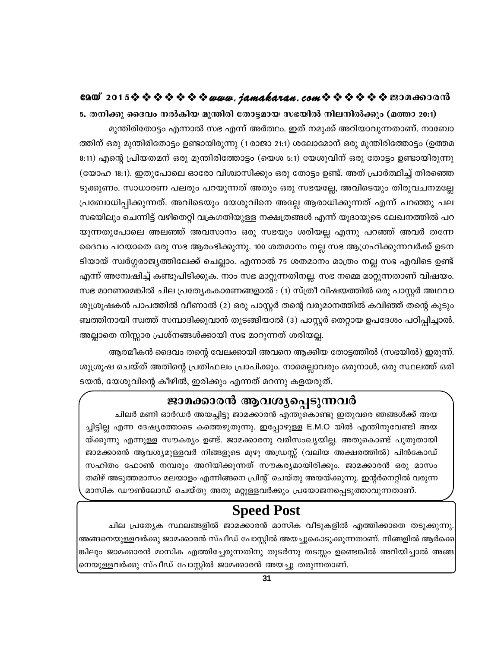5. തനിക്കു ദൈവം നൽകിയ മുന്തിരി തോട്ടമായ സഭയിൽ നിലനിൽക്കും (മത്താ 20:1) മുന്തിരിതോട്ടം എന്നാൽ സഭ എന്ന് അർത്ഥം. ഇത് നമുക്ക് അറിയാവുന്നതാണ്. നാബോ ത്തിന് ഒരു മുന്തിരിതോട്ടം ഉണ്ടായിരുന്നു (1 രാജാ 21:1) ശലോമോന് ഒരു മുന്തിരിത്തോട്ടം (ഉത്തമ 8:11) എന്റെ പ്രിയതമന് ഒരു മുന്തിരിത്തോട്ടം (യെശ 5:1) യേശുവിന് ഒരു തോട്ടം ഉണ്ടായിരുന്നു (യോഹ 18:1). ഇതുപോലെ ഓരോ വിശ്വാസിക്കും ഒരു തോട്ടം ഉണ്ട്. അത് പ്രാർത്ഥിച്ച് തിരഞ്ഞെ ടുക്കുണം. സാധാരണ പലരും പറയുന്നത് അതും ഒരു സഭയല്ലേ, അവിടെയും തിരുവചനമല്ലേ പ്രബോധിപ്പിക്കുന്നത്. അവിടെയും യേശുവിനെ അല്ലേ ആരാധിക്കുന്നത് എന്ന് പറഞ്ഞു പല സഭയിലും ചെന്നിട്ട് വഴിതെറ്റി വക്രഗതിയുള്ള നക്ഷത്രങ്ങൾ എന്ന് യൂദായുടെ ലേഖനത്തിൽ പറ യുന്നതുപോലെ അലഞ്ഞ് അവസാനം ഒരു സഭയും ശരിയല്ല എന്നു പറഞ്ഞ് അവർ തന്നേ ദൈവം പറയാതെ ഒരു സഭ ആരംഭിക്കുന്നു. 100 ശതമാനം നല്ല സഭ ആഗ്രഹിക്കുന്നവർക്ക് ഉടന ടിയായ് സ്വർഗ്ഗരാജ്യത്തിലേക്ക് ചെല്ലാം. എന്നാൽ 75 ശതമാനം മാത്രം നല്ല സഭ എവിടെ ഉണ്ട് എന്ന് അന്വേഷിച്ച് കണ്ടുപിടിക്കുക. നാം സഭ മാറ്റുന്നതിനല്ല. സഭ നമ്മെ മാറ്റുന്നതാണ് വിഷയം. സഭ മാറണമെങ്കിൽ ചില പ്രത്യേകകാരണങ്ങളാൽ : (1) സ്ത്രീ വിഷയത്തിൽ ഒരു പാസ്റ്റർ അഥവാ ശുശ്രൂഷകൻ പാപത്തിൽ വീണാൽ (2) ഒരു പാസ്റ്റർ തന്റെ വരുമാനത്തിൽ കവിഞ്ഞ് തന്റെ കുടും ബത്തിനായി സ്വത്ത് സമ്പാദിക്കുവാൻ തുടങ്ങിയാൽ (3) പാസ്റ്റർ തെറ്റായ ഉപദേശം പഠിപ്പിച്ചാൽ. അല്ലാതെ നിസ്സാര പ്രശ്നങ്ങൾക്കായി സഭ മാറുന്നത് ശരിയല്ല.

ആത്മീകൻ ദൈവം തന്റെ വേലക്കായി അവനെ ആക്കിയ തോട്ടത്തിൽ (സഭയിൽ) ഇരുന്ന്. ശുശ്രൂഷ ചെയ്ത് അതിന്റെ പ്രതിഫലം പ്രാപിക്കും. നാമെല്ലാവരും ഒരുനാൾ, ഒരു സ്ഥലത്ത് ഒരി ടയൻ, യേശുവിന്റെ കീഴിൽ, ഇരിക്കും എന്നത് മറന്നു കളയരുത്.

# ജാമക്കാരൻ ആവശ്യപ്പെടുന്നവർ

ചിലർ മണി ഓർഡർ അയച്ചിട്ടു ജാമക്കാരൻ എന്തുകൊണ്ടു ഇതുവരെ ഞങ്ങൾക്ക് അയ ച്ചിട്ടില്ല എന്ന ദേഷ്യത്തോടെ കത്തെഴുതുന്നു. ഇപ്പോഴുള്ള E.M.O യിൽ എന്തിനുവേണ്ടി അയ യ്ക്കുന്നു എന്നുള്ള സൗകര്യം ഉണ്ട്. ജാമക്കാരനു വരിസംഖ്യയില്ല. അതുകൊണ്ട് പുതുതായി ജാമക്കാരൻ ആവശ്യമുള്ളവർ നിങ്ങളുടെ മുഴു അഡ്രസ്സ് (വലിയ അക്ഷരത്തിൽ) പിൻകോഡ് സഹിതം ഫോൺ നമ്പരും അറിയിക്കുന്നത് സൗകര്യമായിരിക്കും. ജാമക്കാരൻ ഒരു മാസം തമിഴ് അടുത്തമാസം മലയാളം എന്നിങ്ങനെ പ്രിന്റ് ചെയ്തു അയയ്ക്കുന്നു. ഇന്റർനെറ്റിൽ വരുന്ന മാസിക ഡൗൺലോഡ് ചെയ്തു അതു മറ്റുള്ളവർക്കും പ്രയോജനപ്പെടുത്താവുന്നതാണ്.

# **Speed Post**

ചില പ്രത്യേക സ്ഥലങ്ങളിൽ ജാമക്കാരൻ മാസിക വീടുകളിൽ എത്തിക്കാതെ തടുക്കുന്നു. അങ്ങനെയുള്ളവർക്കു ജാമക്കാരൻ സ്പീഡ് പോസ്റ്റിൽ അയച്ചുകൊടുക്കുന്നതാണ്. നിങ്ങളിൽ ആർക്കെ ങ്കിലും ജാമക്കാരൻ മാസിക എത്തിച്ചേരുന്നതിനു തുടർന്നു തടസ്സം ഉണ്ടെങ്കിൽ അറിയിച്ചാൽ അങ്ങ നെയുള്ളവർക്കു സ്പീഡ് പോസ്റ്റിൽ ജാമക്കാരൻ അയച്ചു തരുന്നതാണ്.